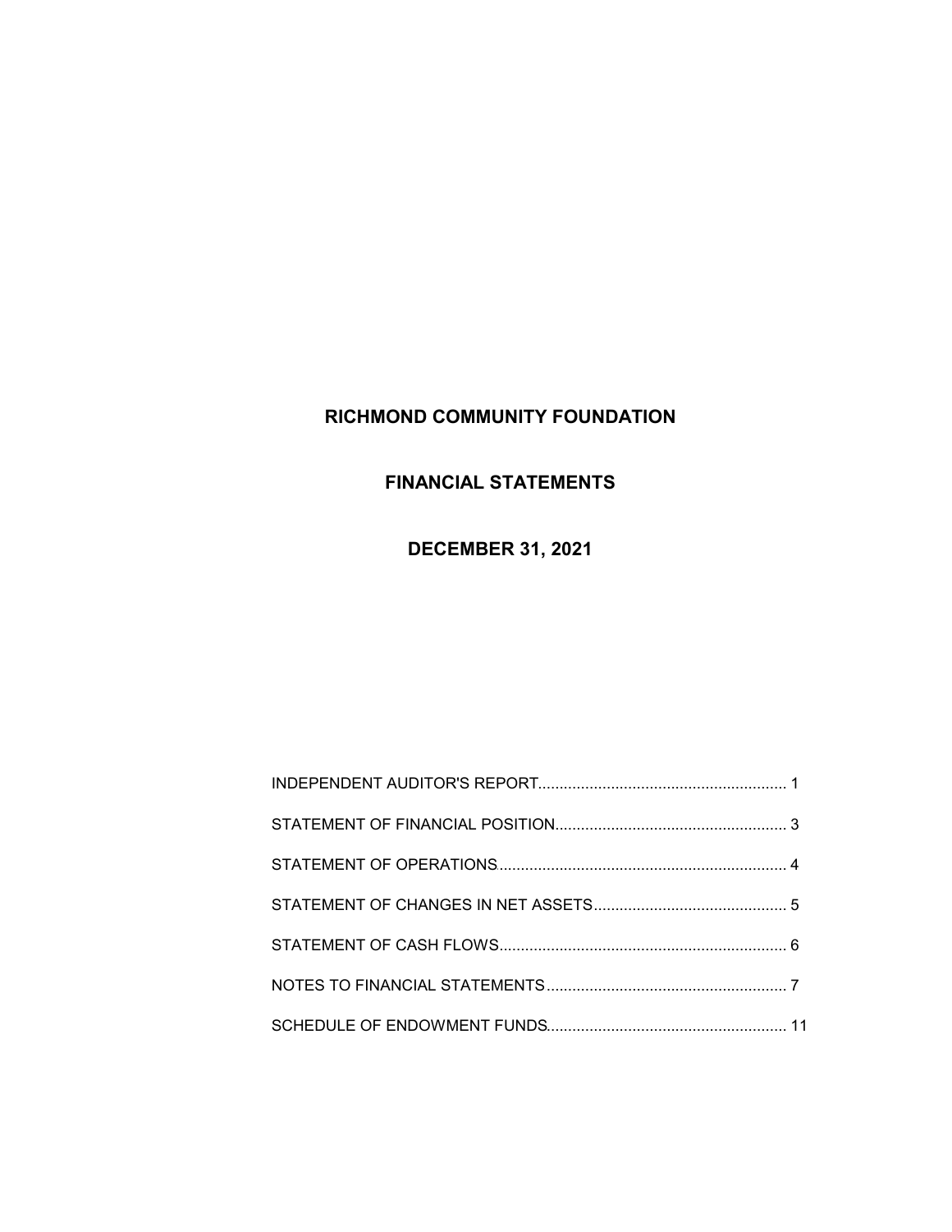# RICHMOND COMMUNITY FOUNDATION

# **FINANCIAL STATEMENTS**

**DECEMBER 31, 2021**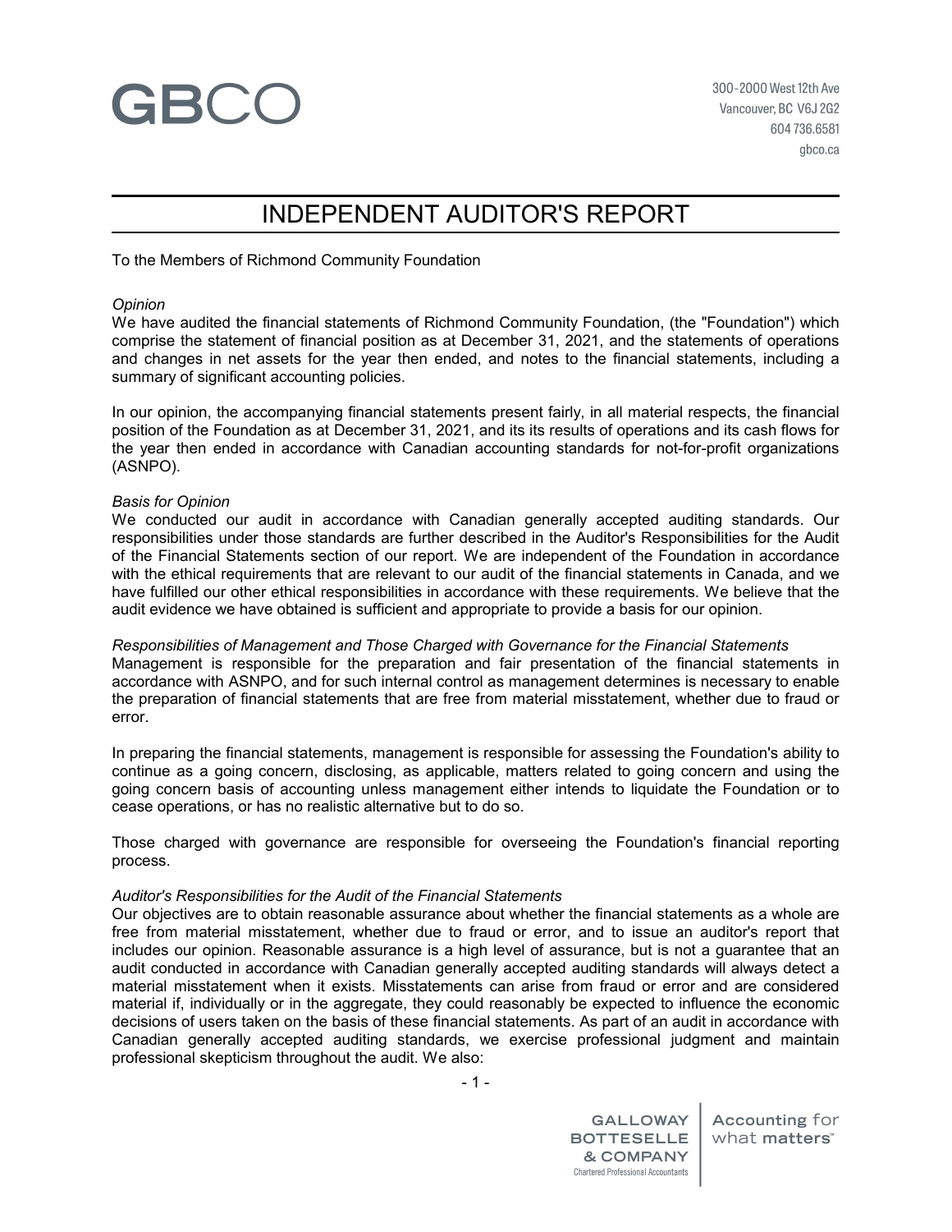# GBCC

# INDEPENDENT AUDITOR'S REPORT

To the Members of Richmond Community Foundation

#### *Opinion*

We have audited the financial statements of Richmond Community Foundation, (the "Foundation") which comprise the statement of financial position as at December 31, 2021, and the statements of operations and changes in net assets for the year then ended, and notes to the financial statements, including a summary of significant accounting policies.

In our opinion, the accompanying financial statements present fairly, in all material respects, the financial position of the Foundation as at December 31, 2021, and its its results of operations and its cash flows for the year then ended in accordance with Canadian accounting standards for not-for-profit organizations (ASNPO).

#### *Basis for Opinion*

We conducted our audit in accordance with Canadian generally accepted auditing standards. Our responsibilities under those standards are further described in the Auditor's Responsibilities for the Audit of the Financial Statements section of our report. We are independent of the Foundation in accordance with the ethical requirements that are relevant to our audit of the financial statements in Canada, and we have fulfilled our other ethical responsibilities in accordance with these requirements. We believe that the audit evidence we have obtained is sufficient and appropriate to provide a basis for our opinion.

*Responsibilities of Management and Those Charged with Governance for the Financial Statements* Management is responsible for the preparation and fair presentation of the financial statements in accordance with ASNPO, and for such internal control as management determines is necessary to enable the preparation of financial statements that are free from material misstatement, whether due to fraud or error.

In preparing the financial statements, management is responsible for assessing the Foundation's ability to continue as a going concern, disclosing, as applicable, matters related to going concern and using the going concern basis of accounting unless management either intends to liquidate the Foundation or to cease operations, or has no realistic alternative but to do so.

Those charged with governance are responsible for overseeing the Foundation's financial reporting process.

#### *Auditor's Responsibilities for the Audit of the Financial Statements*

Our objectives are to obtain reasonable assurance about whether the financial statements as a whole are free from material misstatement, whether due to fraud or error, and to issue an auditor's report that includes our opinion. Reasonable assurance is a high level of assurance, but is not a guarantee that an audit conducted in accordance with Canadian generally accepted auditing standards will always detect a material misstatement when it exists. Misstatements can arise from fraud or error and are considered material if, individually or in the aggregate, they could reasonably be expected to influence the economic decisions of users taken on the basis of these financial statements. As part of an audit in accordance with Canadian generally accepted auditing standards, we exercise professional judgment and maintain professional skepticism throughout the audit. We also:

**GALLOWAY BOTTESELLE** & COMPANY Chartered Professional Accountants Accounting for what matters"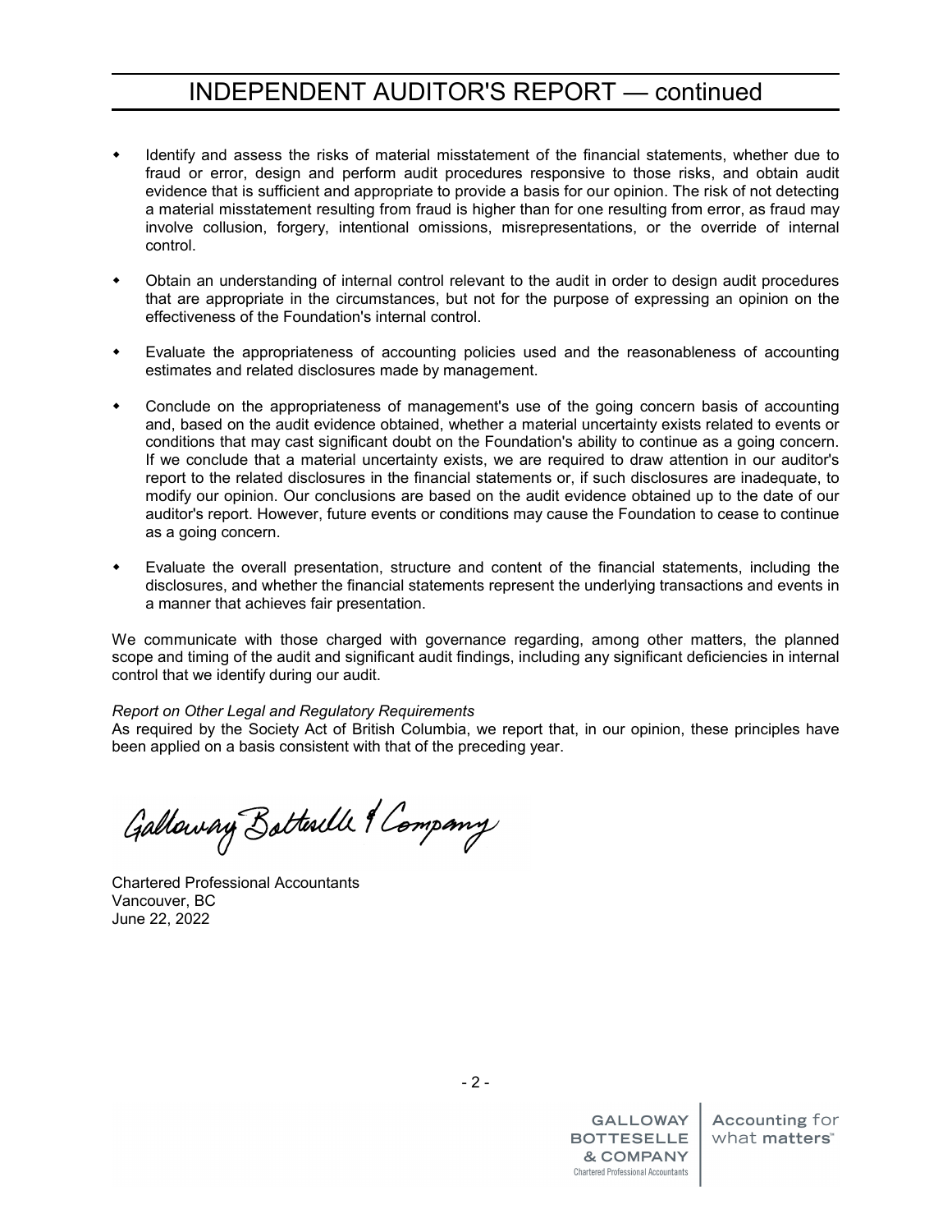# INDEPENDENT AUDITOR'S REPORT — continued

- Identify and assess the risks of material misstatement of the financial statements, whether due to fraud or error, design and perform audit procedures responsive to those risks, and obtain audit evidence that is sufficient and appropriate to provide a basis for our opinion. The risk of not detecting a material misstatement resulting from fraud is higher than for one resulting from error, as fraud may involve collusion, forgery, intentional omissions, misrepresentations, or the override of internal control.
- Obtain an understanding of internal control relevant to the audit in order to design audit procedures that are appropriate in the circumstances, but not for the purpose of expressing an opinion on the effectiveness of the Foundation's internal control.
- Evaluate the appropriateness of accounting policies used and the reasonableness of accounting estimates and related disclosures made by management.
- Conclude on the appropriateness of management's use of the going concern basis of accounting and, based on the audit evidence obtained, whether a material uncertainty exists related to events or conditions that may cast significant doubt on the Foundation's ability to continue as a going concern. If we conclude that a material uncertainty exists, we are required to draw attention in our auditor's report to the related disclosures in the financial statements or, if such disclosures are inadequate, to modify our opinion. Our conclusions are based on the audit evidence obtained up to the date of our auditor's report. However, future events or conditions may cause the Foundation to cease to continue as a going concern.
- Evaluate the overall presentation, structure and content of the financial statements, including the disclosures, and whether the financial statements represent the underlying transactions and events in a manner that achieves fair presentation.

We communicate with those charged with governance regarding, among other matters, the planned scope and timing of the audit and significant audit findings, including any significant deficiencies in internal control that we identify during our audit.

#### *Report on Other Legal and Regulatory Requirements*

As required by the Society Act of British Columbia, we report that, in our opinion, these principles have been applied on a basis consistent with that of the preceding year.

Galloway Bottesell & Company

Chartered Professional Accountants Vancouver, BC June 22, 2022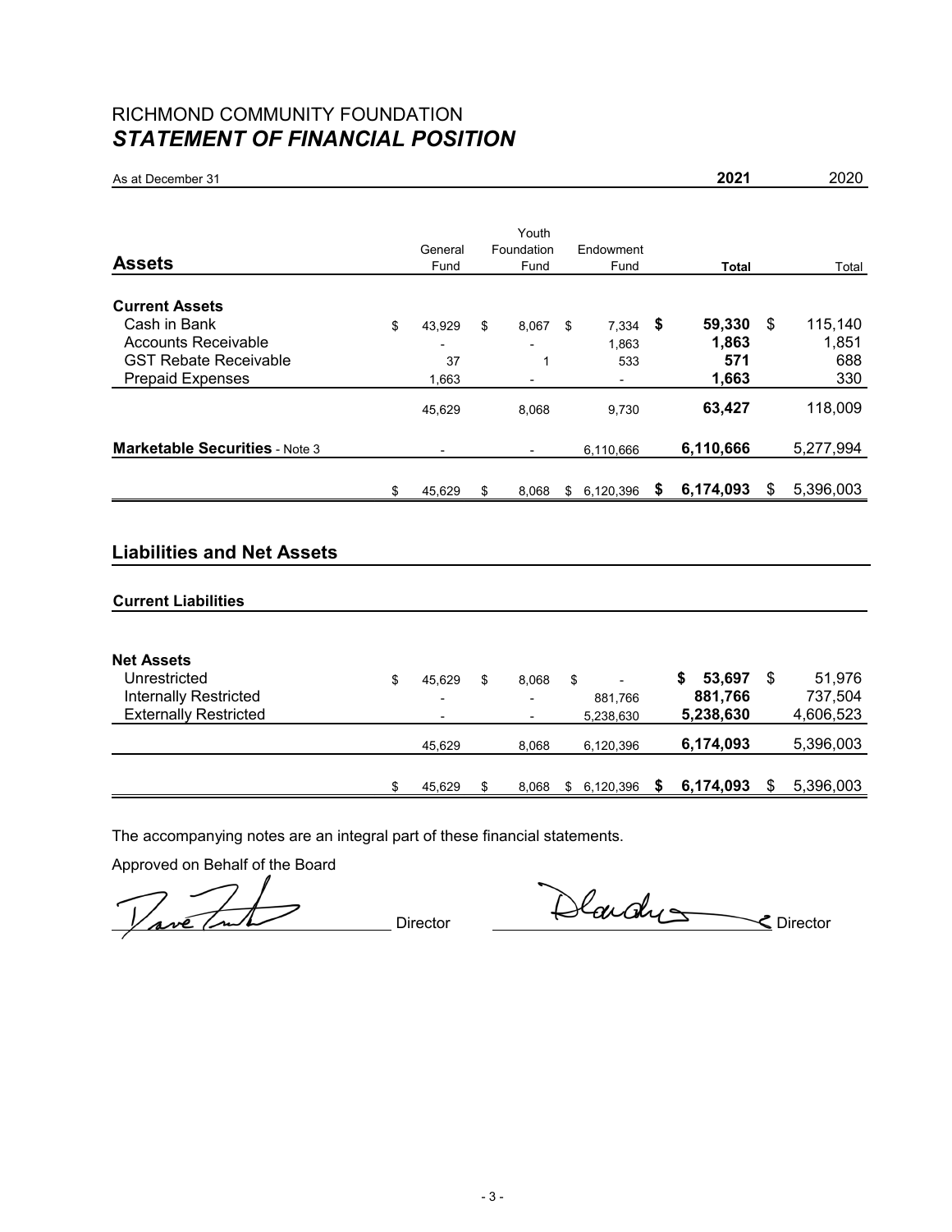# RICHMOND COMMUNITY FOUNDATION *STATEMENT OF FINANCIAL POSITION*

As at December 31 **2021** 2020

| <b>Assets</b>                         | General<br>Fund |    | Youth<br>Foundation<br>Fund | Endowment<br>Fund        |    | Total     |   | Total     |
|---------------------------------------|-----------------|----|-----------------------------|--------------------------|----|-----------|---|-----------|
| <b>Current Assets</b>                 |                 |    |                             |                          |    |           |   |           |
| Cash in Bank                          | \$<br>43,929    | \$ | 8,067                       | \$<br>$7,334$ \$         |    | 59,330    | S | 115,140   |
| <b>Accounts Receivable</b>            |                 |    |                             | 1.863                    |    | 1,863     |   | 1,851     |
| <b>GST Rebate Receivable</b>          | 37              |    |                             | 533                      |    | 571       |   | 688       |
| <b>Prepaid Expenses</b>               | 1,663           |    |                             | $\overline{\phantom{0}}$ |    | 1,663     |   | 330       |
|                                       | 45,629          |    | 8,068                       | 9,730                    |    | 63,427    |   | 118,009   |
| <b>Marketable Securities - Note 3</b> | ٠               |    |                             | 6,110,666                |    | 6,110,666 |   | 5,277,994 |
|                                       | \$<br>45,629    | S  | 8,068                       | \$<br>6,120,396          | S. | 6,174,093 | S | 5,396,003 |
|                                       |                 |    |                             |                          |    |           |   |           |

# **Liabilities and Net Assets**

#### **Current Liabilities**

| <b>Net Assets</b>            |                          |                          |                 |    |              |           |
|------------------------------|--------------------------|--------------------------|-----------------|----|--------------|-----------|
| Unrestricted                 | \$<br>45.629             | \$<br>8,068              | \$<br>٠         |    | 53,697<br>\$ | 51,976    |
| Internally Restricted        | ۰                        | $\overline{\phantom{a}}$ | 881,766         |    | 881,766      | 737,504   |
| <b>Externally Restricted</b> | $\overline{\phantom{0}}$ | $\overline{a}$           | 5,238,630       |    | 5,238,630    | 4,606,523 |
|                              | 45,629                   | 8,068                    | 6,120,396       |    | 6,174,093    | 5,396,003 |
|                              |                          |                          |                 |    |              |           |
|                              | 45,629                   | 8,068                    | \$<br>6.120.396 | S. | 6,174,093    | 5,396,003 |

The accompanying notes are an integral part of these financial statements.

Approved on Behalf of the Board

Vare tute

Director **Deuches** Director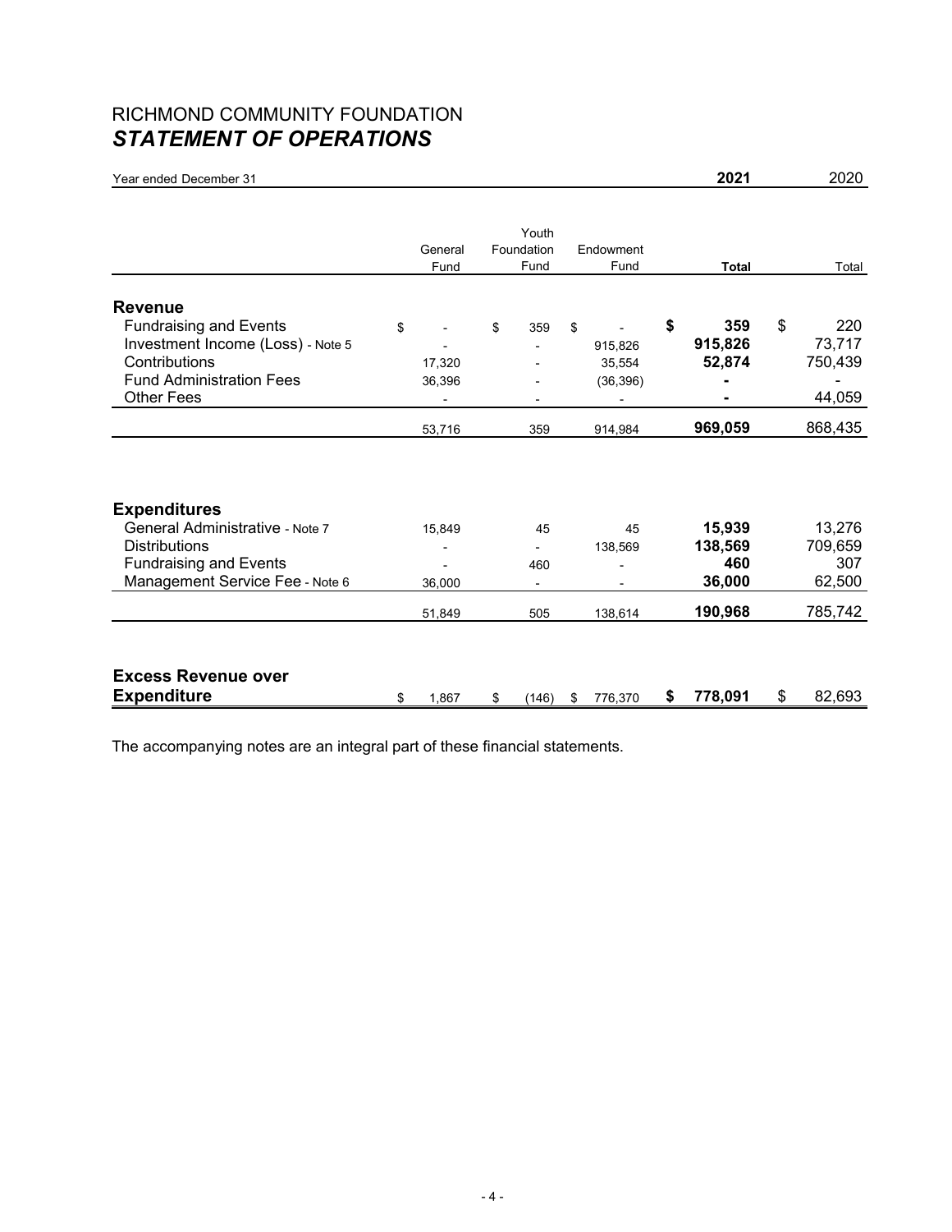# RICHMOND COMMUNITY FOUNDATION *STATEMENT OF OPERATIONS*

| Year ended December 31            |             |                          |               | 2021          | 2020         |
|-----------------------------------|-------------|--------------------------|---------------|---------------|--------------|
|                                   |             | Youth                    |               |               |              |
|                                   | General     | Foundation               | Endowment     |               |              |
|                                   | Fund        | Fund                     | Fund          | <b>Total</b>  | Total        |
| <b>Revenue</b>                    |             |                          |               |               |              |
| <b>Fundraising and Events</b>     | \$          | \$<br>359                | \$            | \$<br>359     | \$<br>220    |
| Investment Income (Loss) - Note 5 |             |                          | 915,826       | 915,826       | 73,717       |
| Contributions                     | 17,320      |                          | 35,554        | 52,874        | 750,439      |
| <b>Fund Administration Fees</b>   | 36,396      |                          | (36, 396)     |               |              |
| <b>Other Fees</b>                 |             | -                        |               |               | 44,059       |
|                                   | 53,716      | 359                      | 914,984       | 969,059       | 868,435      |
|                                   |             |                          |               |               |              |
| <b>Expenditures</b>               |             |                          |               |               |              |
| General Administrative - Note 7   | 15,849      | 45                       | 45            | 15,939        | 13,276       |
| <b>Distributions</b>              |             |                          | 138,569       | 138,569       | 709,659      |
| <b>Fundraising and Events</b>     |             | 460                      |               | 460           | 307          |
| Management Service Fee - Note 6   | 36,000      | $\overline{\phantom{a}}$ |               | 36,000        | 62,500       |
|                                   | 51,849      | 505                      | 138,614       | 190,968       | 785,742      |
|                                   |             |                          |               |               |              |
| <b>Excess Revenue over</b>        |             |                          |               |               |              |
| <b>Expenditure</b>                | \$<br>1,867 | \$<br>(146)              | \$<br>776,370 | \$<br>778,091 | \$<br>82,693 |

The accompanying notes are an integral part of these financial statements.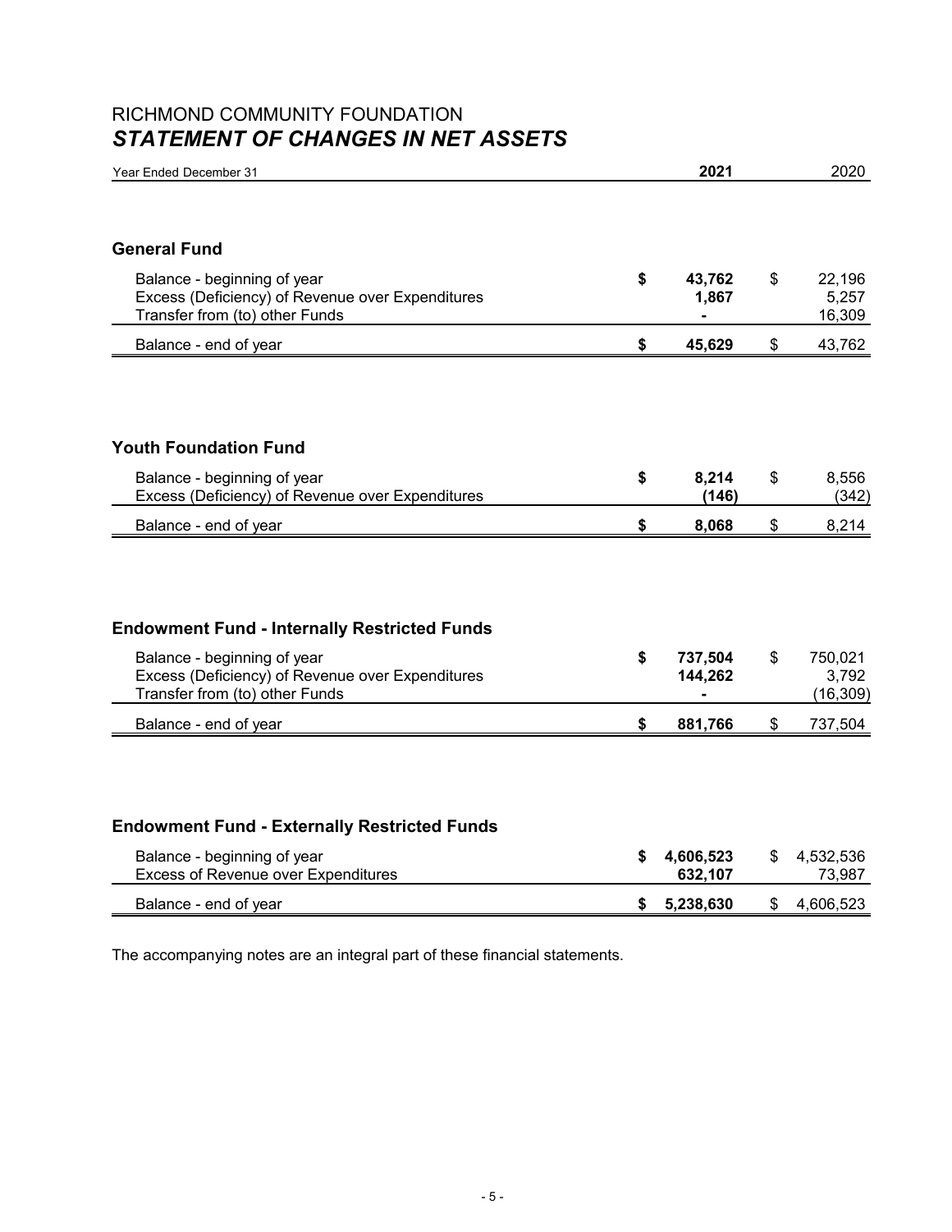# RICHMOND COMMUNITY FOUNDATION *STATEMENT OF CHANGES IN NET ASSETS*

| Year Ended December 31                                                                                            | 2021                       | 2020                                |
|-------------------------------------------------------------------------------------------------------------------|----------------------------|-------------------------------------|
|                                                                                                                   |                            |                                     |
| <b>General Fund</b>                                                                                               |                            |                                     |
| Balance - beginning of year<br>Excess (Deficiency) of Revenue over Expenditures<br>Transfer from (to) other Funds | \$<br>43,762<br>1,867      | \$<br>22,196<br>5,257<br>16,309     |
| Balance - end of year                                                                                             | \$<br>45,629               | \$<br>43,762                        |
|                                                                                                                   |                            |                                     |
| <b>Youth Foundation Fund</b>                                                                                      |                            |                                     |
| Balance - beginning of year<br>Excess (Deficiency) of Revenue over Expenditures                                   | \$<br>8,214<br>(146)       | \$<br>8,556<br>(342)                |
| Balance - end of year                                                                                             | \$<br>8,068                | \$<br>8,214                         |
|                                                                                                                   |                            |                                     |
| <b>Endowment Fund - Internally Restricted Funds</b>                                                               |                            |                                     |
| Balance - beginning of year<br>Excess (Deficiency) of Revenue over Expenditures<br>Transfer from (to) other Funds | \$<br>737,504<br>144,262   | \$<br>750,021<br>3,792<br>(16, 309) |
| Balance - end of year                                                                                             | \$<br>881,766              | \$<br>737,504                       |
|                                                                                                                   |                            |                                     |
| <b>Endowment Fund - Externally Restricted Funds</b>                                                               |                            |                                     |
| Balance - beginning of year<br><b>Excess of Revenue over Expenditures</b>                                         | \$<br>4,606,523<br>632,107 | \$<br>4,532,536<br>73,987           |
| Balance - end of year                                                                                             | \$<br>5,238,630            | \$<br>4,606,523                     |

The accompanying notes are an integral part of these financial statements.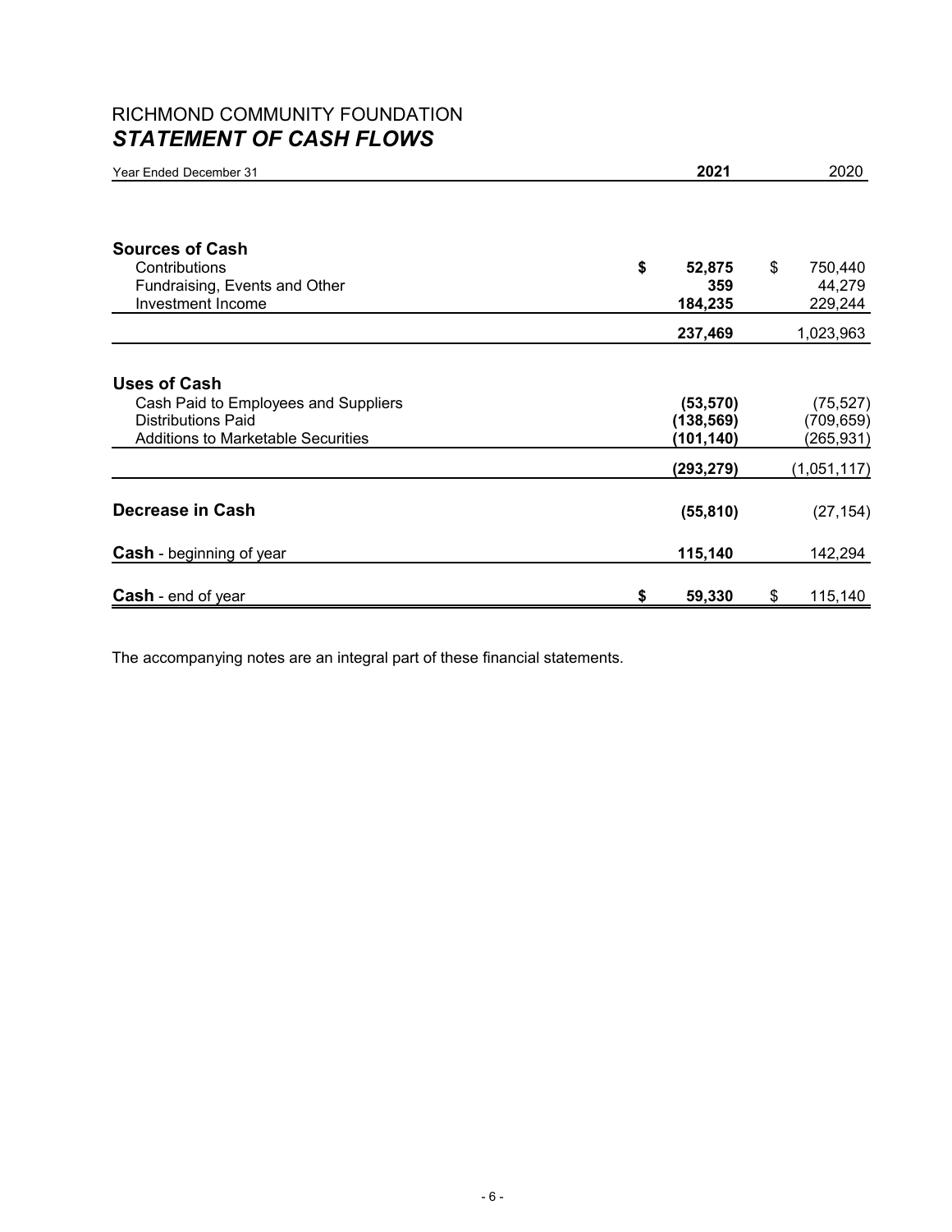### RICHMOND COMMUNITY FOUNDATION *STATEMENT OF CASH FLOWS*

| <b>Year Ended December 31</b>             | 2021         | 2020          |
|-------------------------------------------|--------------|---------------|
| <b>Sources of Cash</b>                    |              |               |
| Contributions                             | \$<br>52,875 | \$<br>750,440 |
| Fundraising, Events and Other             | 359          | 44,279        |
| Investment Income                         | 184,235      | 229,244       |
|                                           | 237,469      | 1,023,963     |
|                                           |              |               |
| <b>Uses of Cash</b>                       |              |               |
| Cash Paid to Employees and Suppliers      | (53, 570)    | (75, 527)     |
| <b>Distributions Paid</b>                 | (138, 569)   | (709, 659)    |
| <b>Additions to Marketable Securities</b> | (101,140)    | (265,931)     |
|                                           | (293,279)    | (1,051,117)   |
| <b>Decrease in Cash</b>                   | (55, 810)    | (27, 154)     |
| <b>Cash</b> - beginning of year           | 115,140      | 142,294       |
| <b>Cash</b> - end of year                 | \$<br>59,330 | \$<br>115,140 |

The accompanying notes are an integral part of these financial statements.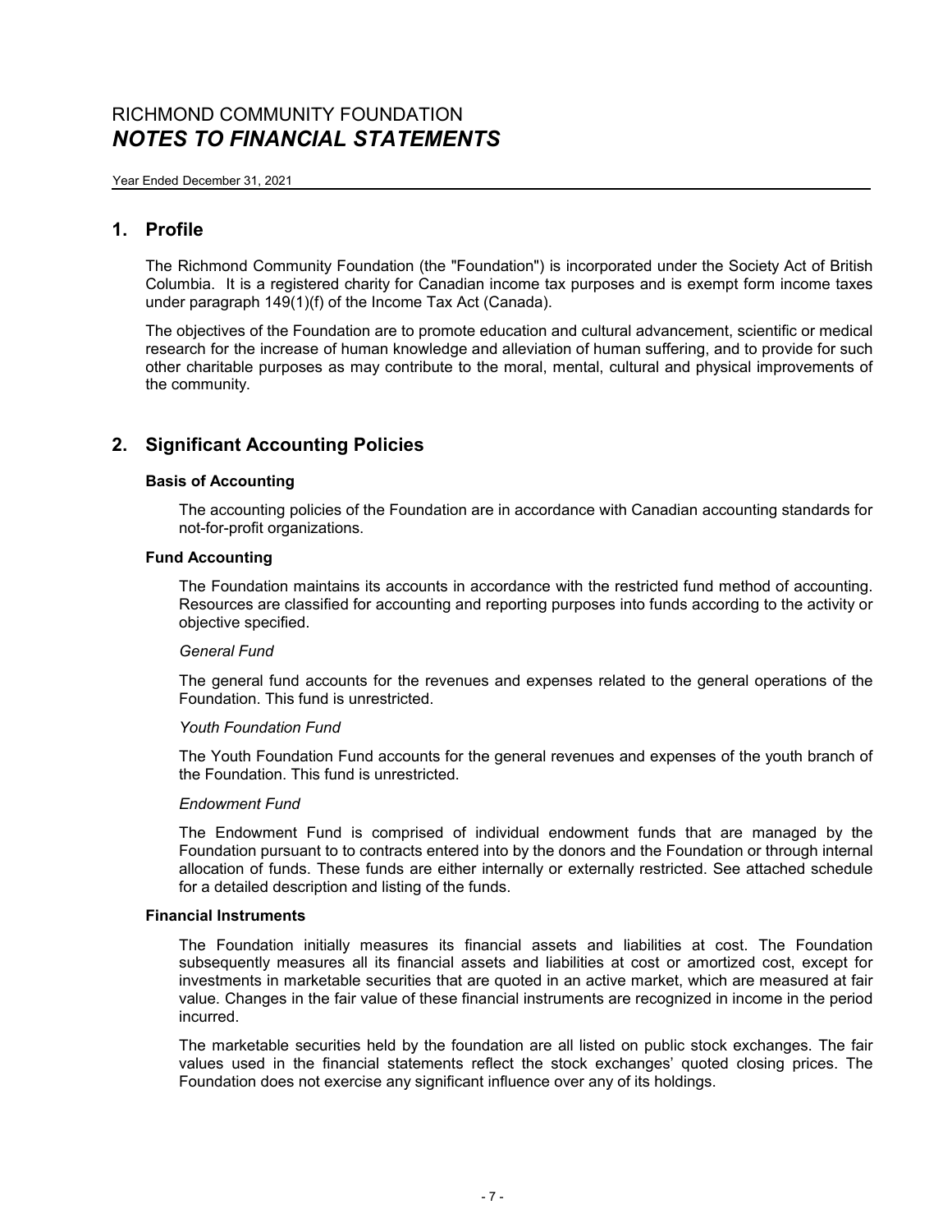Year Ended December 31, 2021

### **1. Profile**

The Richmond Community Foundation (the "Foundation") is incorporated under the Society Act of British Columbia. It is a registered charity for Canadian income tax purposes and is exempt form income taxes under paragraph 149(1)(f) of the Income Tax Act (Canada).

The objectives of the Foundation are to promote education and cultural advancement, scientific or medical research for the increase of human knowledge and alleviation of human suffering, and to provide for such other charitable purposes as may contribute to the moral, mental, cultural and physical improvements of the community.

### **2. Significant Accounting Policies**

#### **Basis of Accounting**

The accounting policies of the Foundation are in accordance with Canadian accounting standards for not-for-profit organizations.

#### **Fund Accounting**

The Foundation maintains its accounts in accordance with the restricted fund method of accounting. Resources are classified for accounting and reporting purposes into funds according to the activity or objective specified.

#### *General Fund*

The general fund accounts for the revenues and expenses related to the general operations of the Foundation. This fund is unrestricted.

#### *Youth Foundation Fund*

The Youth Foundation Fund accounts for the general revenues and expenses of the youth branch of the Foundation. This fund is unrestricted.

#### *Endowment Fund*

The Endowment Fund is comprised of individual endowment funds that are managed by the Foundation pursuant to to contracts entered into by the donors and the Foundation or through internal allocation of funds. These funds are either internally or externally restricted. See attached schedule for a detailed description and listing of the funds.

#### **Financial Instruments**

The Foundation initially measures its financial assets and liabilities at cost. The Foundation subsequently measures all its financial assets and liabilities at cost or amortized cost, except for investments in marketable securities that are quoted in an active market, which are measured at fair value. Changes in the fair value of these financial instruments are recognized in income in the period incurred.

The marketable securities held by the foundation are all listed on public stock exchanges. The fair values used in the financial statements reflect the stock exchanges' quoted closing prices. The Foundation does not exercise any significant influence over any of its holdings.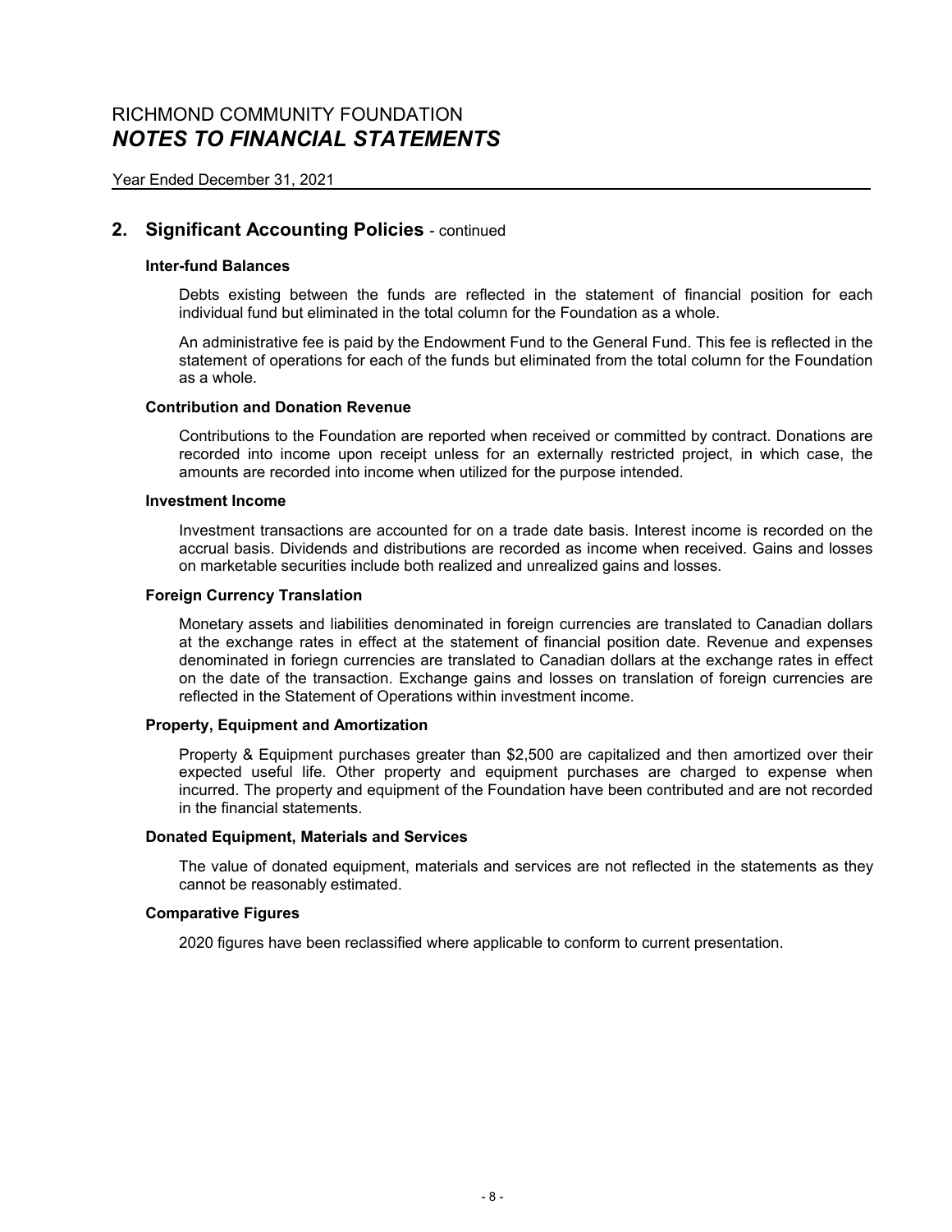Year Ended December 31, 2021

### **2. Significant Accounting Policies** - continued

#### **Inter-fund Balances**

Debts existing between the funds are reflected in the statement of financial position for each individual fund but eliminated in the total column for the Foundation as a whole.

An administrative fee is paid by the Endowment Fund to the General Fund. This fee is reflected in the statement of operations for each of the funds but eliminated from the total column for the Foundation as a whole.

#### **Contribution and Donation Revenue**

Contributions to the Foundation are reported when received or committed by contract. Donations are recorded into income upon receipt unless for an externally restricted project, in which case, the amounts are recorded into income when utilized for the purpose intended.

#### **Investment Income**

Investment transactions are accounted for on a trade date basis. Interest income is recorded on the accrual basis. Dividends and distributions are recorded as income when received. Gains and losses on marketable securities include both realized and unrealized gains and losses.

#### **Foreign Currency Translation**

Monetary assets and liabilities denominated in foreign currencies are translated to Canadian dollars at the exchange rates in effect at the statement of financial position date. Revenue and expenses denominated in foriegn currencies are translated to Canadian dollars at the exchange rates in effect on the date of the transaction. Exchange gains and losses on translation of foreign currencies are reflected in the Statement of Operations within investment income.

#### **Property, Equipment and Amortization**

Property & Equipment purchases greater than \$2,500 are capitalized and then amortized over their expected useful life. Other property and equipment purchases are charged to expense when incurred. The property and equipment of the Foundation have been contributed and are not recorded in the financial statements.

#### **Donated Equipment, Materials and Services**

The value of donated equipment, materials and services are not reflected in the statements as they cannot be reasonably estimated.

#### **Comparative Figures**

2020 figures have been reclassified where applicable to conform to current presentation.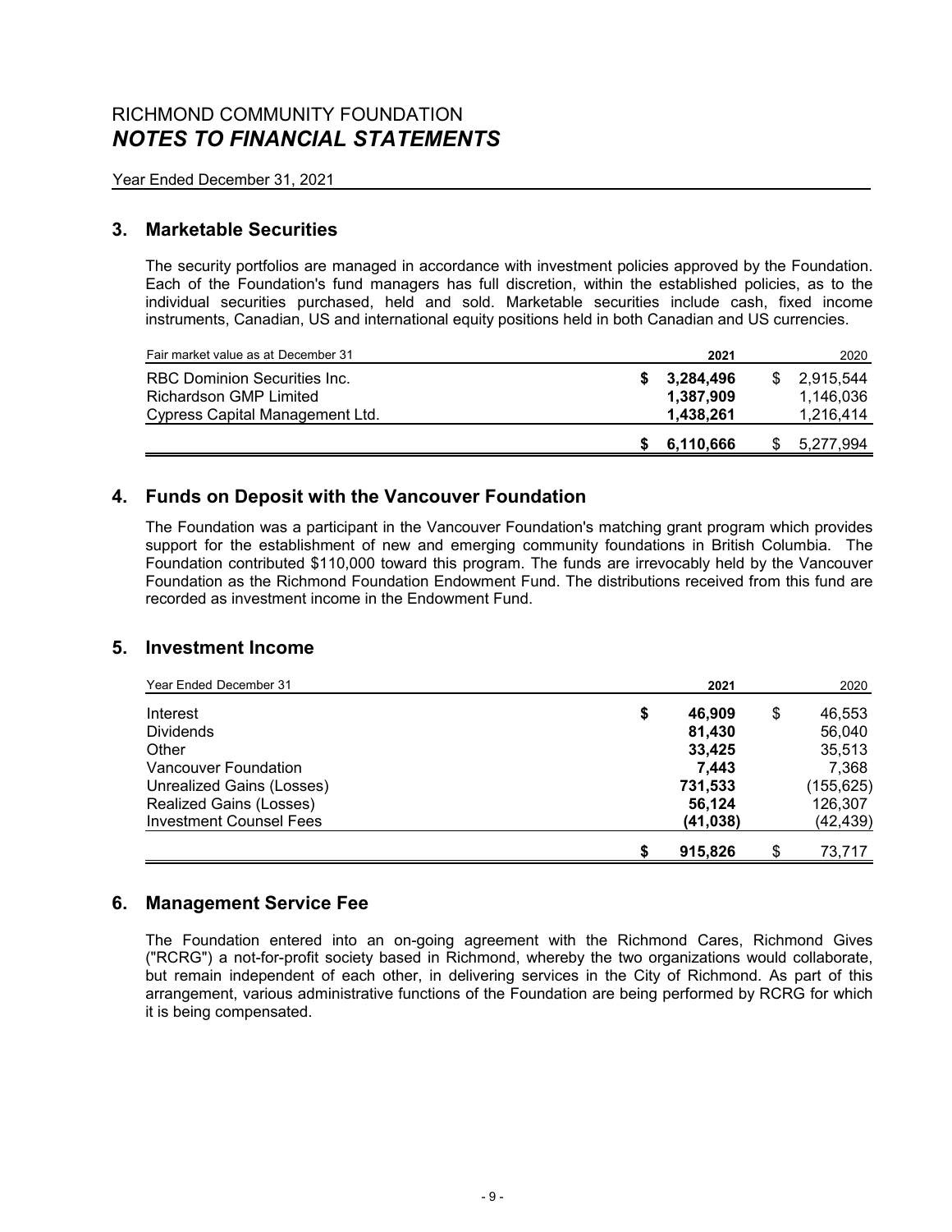Year Ended December 31, 2021

### **3. Marketable Securities**

The security portfolios are managed in accordance with investment policies approved by the Foundation. Each of the Foundation's fund managers has full discretion, within the established policies, as to the individual securities purchased, held and sold. Marketable securities include cash, fixed income instruments, Canadian, US and international equity positions held in both Canadian and US currencies.

| Fair market value as at December 31    | 2021      | 2020      |
|----------------------------------------|-----------|-----------|
| RBC Dominion Securities Inc.           | 3.284.496 | 2.915.544 |
| Richardson GMP Limited                 | 1.387.909 | 1.146.036 |
| <b>Cypress Capital Management Ltd.</b> | 1.438.261 | 1,216,414 |
|                                        | 6,110,666 | 5,277,994 |

### **4. Funds on Deposit with the Vancouver Foundation**

The Foundation was a participant in the Vancouver Foundation's matching grant program which provides support for the establishment of new and emerging community foundations in British Columbia. The Foundation contributed \$110,000 toward this program. The funds are irrevocably held by the Vancouver Foundation as the Richmond Foundation Endowment Fund. The distributions received from this fund are recorded as investment income in the Endowment Fund.

### **5. Investment Income**

| <b>Year Ended December 31</b>  | 2021         | 2020         |
|--------------------------------|--------------|--------------|
| Interest                       | \$<br>46,909 | \$<br>46,553 |
| <b>Dividends</b>               | 81,430       | 56,040       |
| Other                          | 33,425       | 35,513       |
| Vancouver Foundation           | 7,443        | 7,368        |
| Unrealized Gains (Losses)      | 731,533      | (155, 625)   |
| Realized Gains (Losses)        | 56,124       | 126,307      |
| <b>Investment Counsel Fees</b> | (41, 038)    | (42, 439)    |
|                                | 915.826      | 73,717       |

### **6. Management Service Fee**

The Foundation entered into an on-going agreement with the Richmond Cares, Richmond Gives ("RCRG") a not-for-profit society based in Richmond, whereby the two organizations would collaborate, but remain independent of each other, in delivering services in the City of Richmond. As part of this arrangement, various administrative functions of the Foundation are being performed by RCRG for which it is being compensated.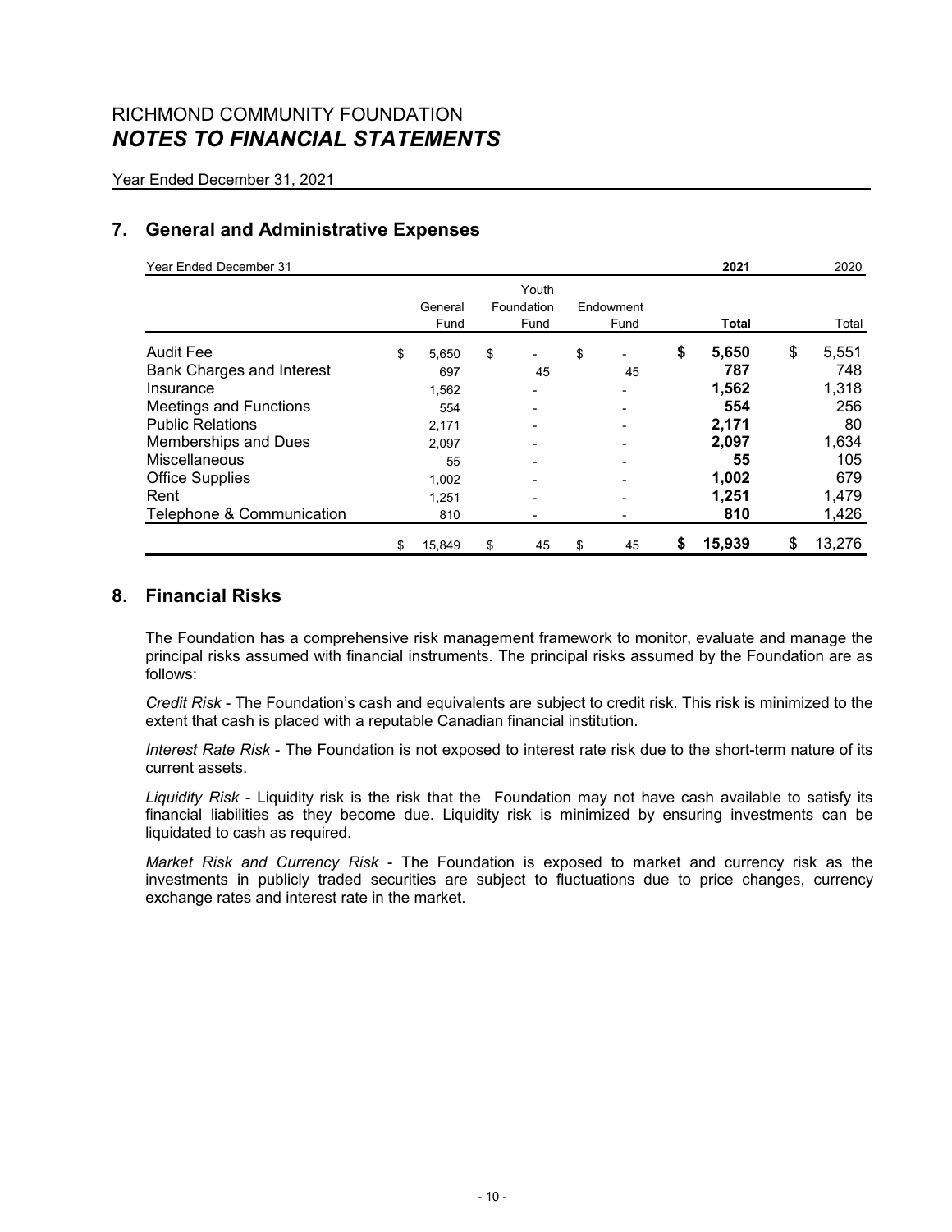Year Ended December 31, 2021

### **7. General and Administrative Expenses**

| <b>Year Ended December 31</b>    |              |                         |                |    |      |    | 2021   |    | 2020   |
|----------------------------------|--------------|-------------------------|----------------|----|------|----|--------|----|--------|
|                                  |              |                         | Youth          |    |      |    |        |    |        |
|                                  | General      | Foundation<br>Endowment |                |    |      |    |        |    |        |
|                                  | Fund         |                         | Fund           |    | Fund |    | Total  |    | Total  |
| <b>Audit Fee</b>                 | \$<br>5,650  | \$                      | $\blacksquare$ | \$ |      | \$ | 5,650  | \$ | 5,551  |
| <b>Bank Charges and Interest</b> | 697          |                         | 45             |    | 45   |    | 787    |    | 748    |
| Insurance                        | 1,562        |                         |                |    |      |    | 1,562  |    | 1,318  |
| <b>Meetings and Functions</b>    | 554          |                         |                |    |      |    | 554    |    | 256    |
| <b>Public Relations</b>          | 2,171        |                         |                |    |      |    | 2,171  |    | 80     |
| Memberships and Dues             | 2,097        |                         |                |    |      |    | 2,097  |    | 1,634  |
| Miscellaneous                    | 55           |                         |                |    |      |    | 55     |    | 105    |
| <b>Office Supplies</b>           | 1,002        |                         |                |    |      |    | 1,002  |    | 679    |
| Rent                             | 1,251        |                         |                |    |      |    | 1,251  |    | 1,479  |
| Telephone & Communication        | 810          |                         |                |    |      |    | 810    |    | 1,426  |
|                                  | \$<br>15,849 | \$                      | 45             |    | 45   | S  | 15,939 | S  | 13,276 |

### **8. Financial Risks**

The Foundation has a comprehensive risk management framework to monitor, evaluate and manage the principal risks assumed with financial instruments. The principal risks assumed by the Foundation are as follows:

*Credit Risk* - The Foundation's cash and equivalents are subject to credit risk. This risk is minimized to the extent that cash is placed with a reputable Canadian financial institution.

*Interest Rate Risk* - The Foundation is not exposed to interest rate risk due to the short-term nature of its current assets.

*Liquidity Risk* - Liquidity risk is the risk that the Foundation may not have cash available to satisfy its financial liabilities as they become due. Liquidity risk is minimized by ensuring investments can be liquidated to cash as required.

*Market Risk and Currency Risk* - The Foundation is exposed to market and currency risk as the investments in publicly traded securities are subject to fluctuations due to price changes, currency exchange rates and interest rate in the market.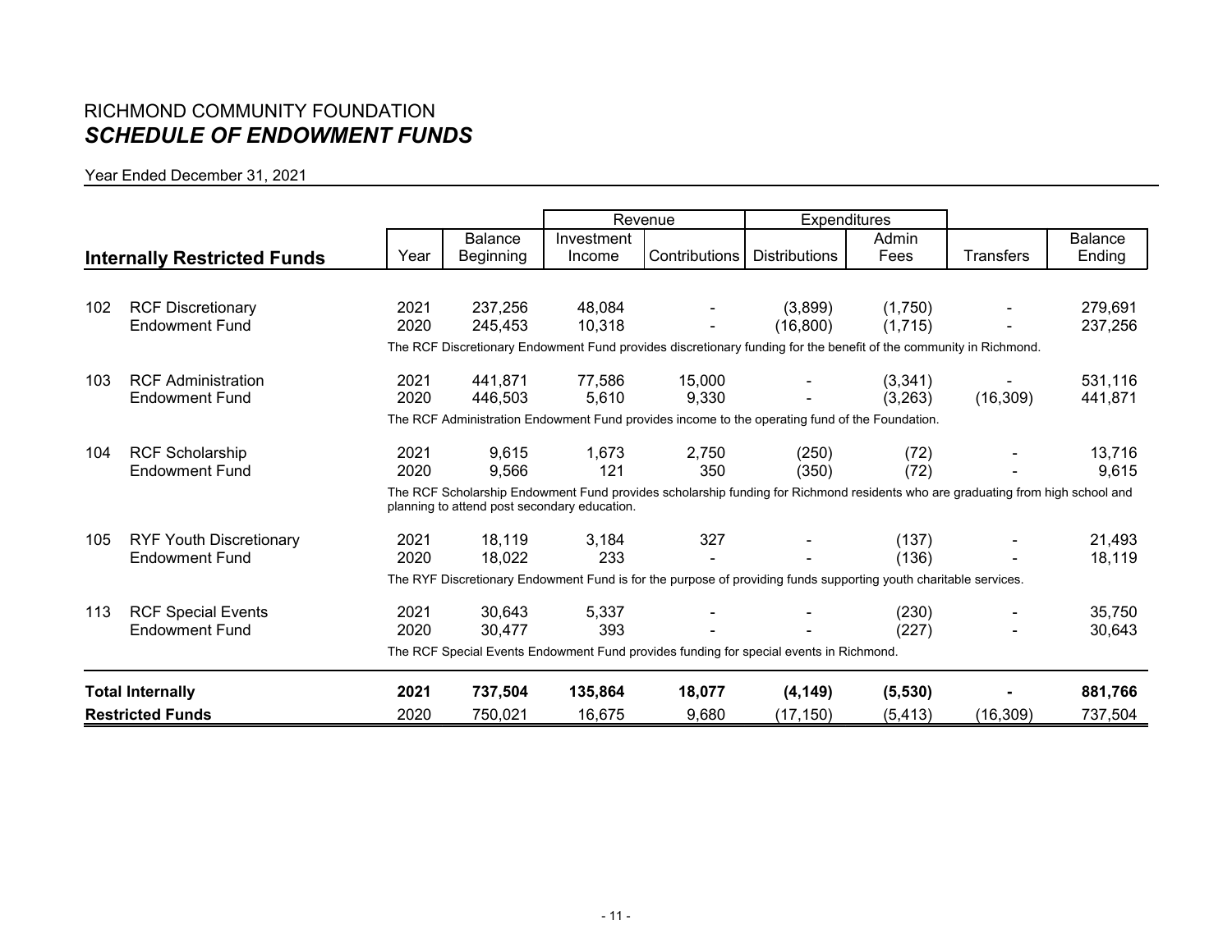|     |                                    |      |                                              |            | Revenue                                                                                                                        | Expenditures         |          |                  |                |
|-----|------------------------------------|------|----------------------------------------------|------------|--------------------------------------------------------------------------------------------------------------------------------|----------------------|----------|------------------|----------------|
|     |                                    |      | <b>Balance</b>                               | Investment |                                                                                                                                |                      | Admin    |                  | <b>Balance</b> |
|     | <b>Internally Restricted Funds</b> | Year | Beginning                                    | Income     | Contributions                                                                                                                  | <b>Distributions</b> | Fees     | <b>Transfers</b> | Ending         |
|     |                                    |      |                                              |            |                                                                                                                                |                      |          |                  |                |
| 102 | <b>RCF Discretionary</b>           | 2021 | 237,256                                      | 48,084     |                                                                                                                                | (3,899)              | (1,750)  |                  | 279,691        |
|     | <b>Endowment Fund</b>              | 2020 | 245,453                                      | 10,318     |                                                                                                                                | (16, 800)            | (1,715)  |                  | 237,256        |
|     |                                    |      |                                              |            | The RCF Discretionary Endowment Fund provides discretionary funding for the benefit of the community in Richmond.              |                      |          |                  |                |
| 103 | <b>RCF Administration</b>          | 2021 | 441,871                                      | 77,586     | 15,000                                                                                                                         |                      | (3, 341) |                  | 531,116        |
|     | <b>Endowment Fund</b>              | 2020 | 446,503                                      | 5,610      | 9,330                                                                                                                          |                      | (3, 263) | (16, 309)        | 441,871        |
|     |                                    |      |                                              |            | The RCF Administration Endowment Fund provides income to the operating fund of the Foundation.                                 |                      |          |                  |                |
| 104 | <b>RCF Scholarship</b>             | 2021 | 9,615                                        | 1,673      | 2,750                                                                                                                          | (250)                | (72)     |                  | 13,716         |
|     | <b>Endowment Fund</b>              | 2020 | 9,566                                        | 121        | 350                                                                                                                            | (350)                | (72)     |                  | 9,615          |
|     |                                    |      | planning to attend post secondary education. |            | The RCF Scholarship Endowment Fund provides scholarship funding for Richmond residents who are graduating from high school and |                      |          |                  |                |
| 105 | <b>RYF Youth Discretionary</b>     | 2021 | 18,119                                       | 3,184      | 327                                                                                                                            |                      | (137)    |                  | 21,493         |
|     | <b>Endowment Fund</b>              | 2020 | 18,022                                       | 233        |                                                                                                                                |                      | (136)    |                  | 18,119         |
|     |                                    |      |                                              |            | The RYF Discretionary Endowment Fund is for the purpose of providing funds supporting youth charitable services.               |                      |          |                  |                |
| 113 | <b>RCF Special Events</b>          | 2021 | 30,643                                       | 5,337      |                                                                                                                                |                      | (230)    |                  | 35,750         |
|     | <b>Endowment Fund</b>              | 2020 | 30,477                                       | 393        |                                                                                                                                |                      | (227)    |                  | 30,643         |
|     |                                    |      |                                              |            | The RCF Special Events Endowment Fund provides funding for special events in Richmond.                                         |                      |          |                  |                |
|     | <b>Total Internally</b>            | 2021 | 737,504                                      | 135,864    | 18,077                                                                                                                         | (4, 149)             | (5, 530) |                  | 881,766        |
|     | <b>Restricted Funds</b>            | 2020 | 750,021                                      | 16,675     | 9,680                                                                                                                          | (17, 150)            | (5, 413) | (16, 309)        | 737,504        |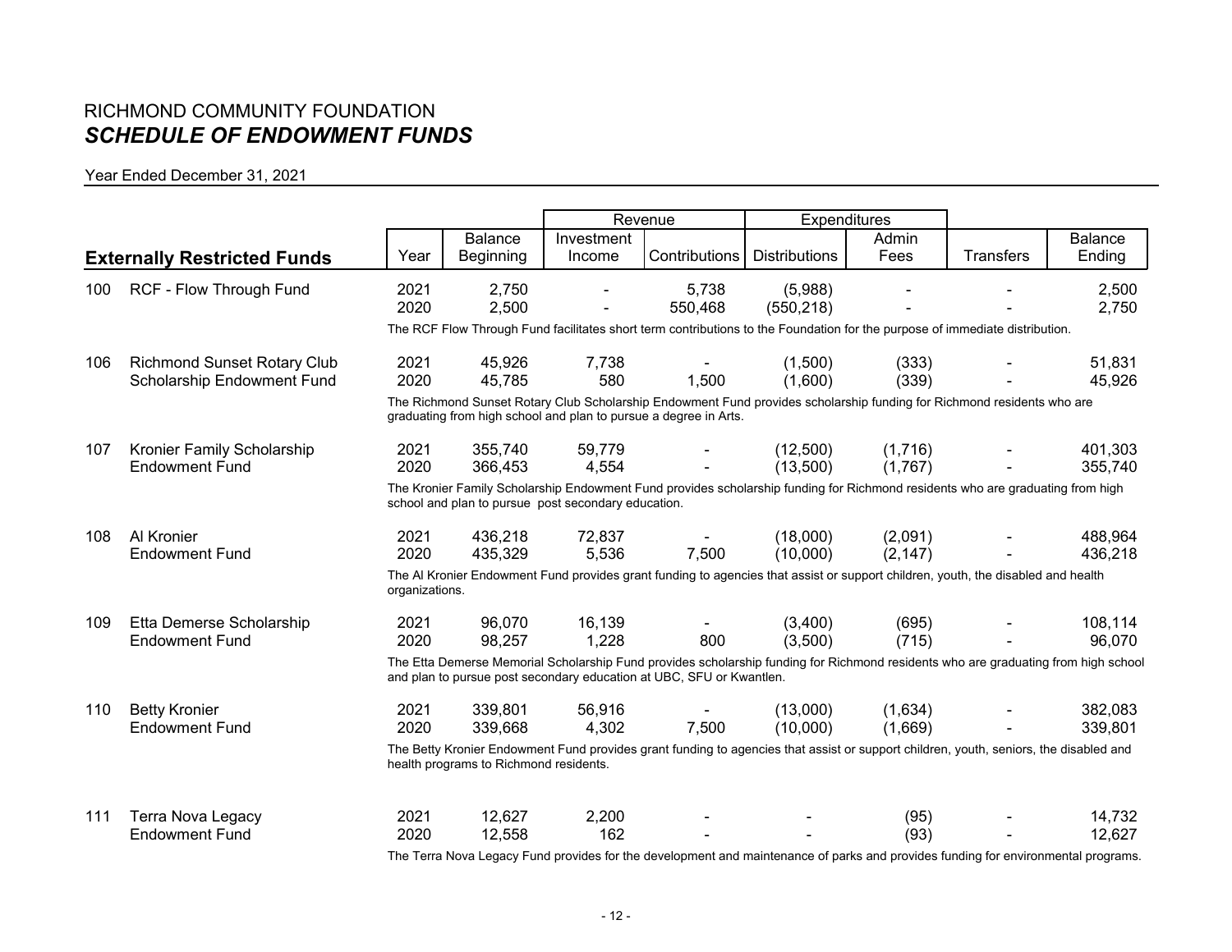### Year Ended December 31, 2021

|     |                                                                  |                |                                        |                                                     | Revenue                                                                                                                                                                                                    | Expenditures          |                     |           |                    |
|-----|------------------------------------------------------------------|----------------|----------------------------------------|-----------------------------------------------------|------------------------------------------------------------------------------------------------------------------------------------------------------------------------------------------------------------|-----------------------|---------------------|-----------|--------------------|
|     |                                                                  |                | Balance                                | Investment                                          |                                                                                                                                                                                                            |                       | Admin               |           | Balance            |
|     | <b>Externally Restricted Funds</b>                               | Year           | Beginning                              | Income                                              | Contributions                                                                                                                                                                                              | <b>Distributions</b>  | Fees                | Transfers | Ending             |
| 100 | RCF - Flow Through Fund                                          | 2021<br>2020   | 2,750<br>2,500                         |                                                     | 5,738<br>550,468                                                                                                                                                                                           | (5,988)<br>(550, 218) |                     |           | 2,500<br>2,750     |
|     |                                                                  |                |                                        |                                                     | The RCF Flow Through Fund facilitates short term contributions to the Foundation for the purpose of immediate distribution.                                                                                |                       |                     |           |                    |
| 106 | <b>Richmond Sunset Rotary Club</b><br>Scholarship Endowment Fund | 2021<br>2020   | 45,926<br>45,785                       | 7,738<br>580                                        | 1,500                                                                                                                                                                                                      | (1,500)<br>(1,600)    | (333)<br>(339)      |           | 51,831<br>45,926   |
|     |                                                                  |                |                                        |                                                     | The Richmond Sunset Rotary Club Scholarship Endowment Fund provides scholarship funding for Richmond residents who are<br>graduating from high school and plan to pursue a degree in Arts.                 |                       |                     |           |                    |
| 107 | Kronier Family Scholarship<br><b>Endowment Fund</b>              | 2021<br>2020   | 355,740<br>366,453                     | 59,779<br>4,554                                     |                                                                                                                                                                                                            | (12,500)<br>(13,500)  | (1,716)<br>(1,767)  |           | 401,303<br>355,740 |
|     |                                                                  |                |                                        | school and plan to pursue post secondary education. | The Kronier Family Scholarship Endowment Fund provides scholarship funding for Richmond residents who are graduating from high                                                                             |                       |                     |           |                    |
| 108 | Al Kronier<br><b>Endowment Fund</b>                              | 2021<br>2020   | 436,218<br>435,329                     | 72,837<br>5,536                                     | 7,500                                                                                                                                                                                                      | (18,000)<br>(10,000)  | (2,091)<br>(2, 147) |           | 488,964<br>436,218 |
|     |                                                                  | organizations. |                                        |                                                     | The AI Kronier Endowment Fund provides grant funding to agencies that assist or support children, youth, the disabled and health                                                                           |                       |                     |           |                    |
| 109 | Etta Demerse Scholarship<br><b>Endowment Fund</b>                | 2021<br>2020   | 96,070<br>98,257                       | 16,139<br>1,228                                     | 800                                                                                                                                                                                                        | (3,400)<br>(3,500)    | (695)<br>(715)      |           | 108,114<br>96,070  |
|     |                                                                  |                |                                        |                                                     | The Etta Demerse Memorial Scholarship Fund provides scholarship funding for Richmond residents who are graduating from high school<br>and plan to pursue post secondary education at UBC, SFU or Kwantlen. |                       |                     |           |                    |
| 110 | <b>Betty Kronier</b><br><b>Endowment Fund</b>                    | 2021<br>2020   | 339,801<br>339,668                     | 56,916<br>4.302                                     | 7,500                                                                                                                                                                                                      | (13,000)<br>(10,000)  | (1,634)<br>(1,669)  |           | 382,083<br>339,801 |
|     |                                                                  |                | health programs to Richmond residents. |                                                     | The Betty Kronier Endowment Fund provides grant funding to agencies that assist or support children, youth, seniors, the disabled and                                                                      |                       |                     |           |                    |
| 111 | Terra Nova Legacy<br><b>Endowment Fund</b>                       | 2021<br>2020   | 12,627<br>12,558                       | 2,200<br>162                                        |                                                                                                                                                                                                            |                       | (95)<br>(93)        |           | 14,732<br>12,627   |
|     |                                                                  |                |                                        |                                                     | The Terro Neus Legen: Fund provides for the development and mointenance of period and provides funding for environmental programs                                                                          |                       |                     |           |                    |

The Terra Nova Legacy Fund provides for the development and maintenance of parks and provides funding for environmental programs.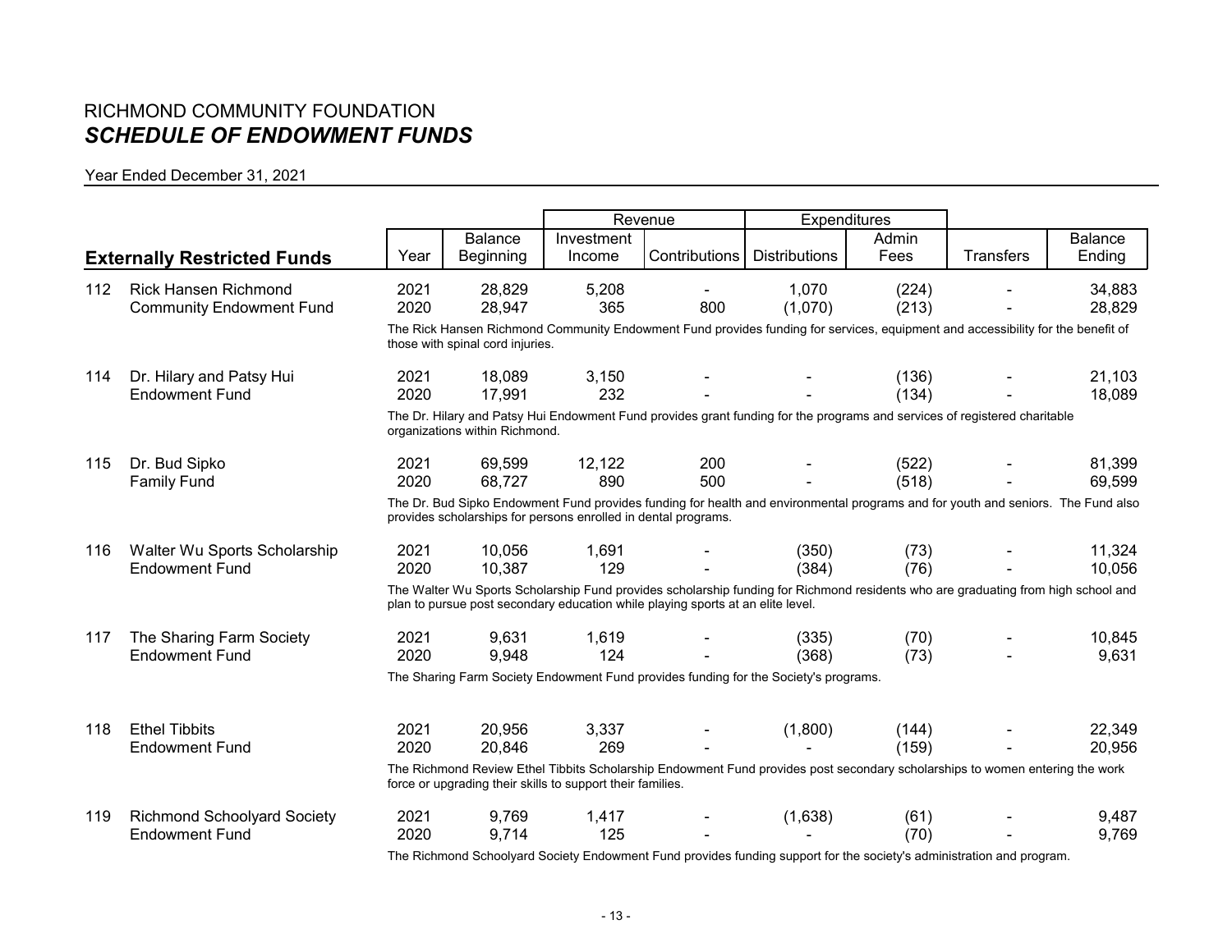### Year Ended December 31, 2021

|     |                                    |      |                                  |                                                                                                                                 | Revenue                                                                                                                                                                                                              | Expenditures         |       |           |                |
|-----|------------------------------------|------|----------------------------------|---------------------------------------------------------------------------------------------------------------------------------|----------------------------------------------------------------------------------------------------------------------------------------------------------------------------------------------------------------------|----------------------|-------|-----------|----------------|
|     |                                    |      | <b>Balance</b>                   | Investment                                                                                                                      |                                                                                                                                                                                                                      |                      | Admin |           | <b>Balance</b> |
|     | <b>Externally Restricted Funds</b> | Year | Beginning                        | Income                                                                                                                          | Contributions                                                                                                                                                                                                        | <b>Distributions</b> | Fees  | Transfers | Ending         |
| 112 | <b>Rick Hansen Richmond</b>        | 2021 | 28,829                           | 5,208                                                                                                                           |                                                                                                                                                                                                                      | 1,070                | (224) |           | 34,883         |
|     | <b>Community Endowment Fund</b>    | 2020 | 28,947                           | 365                                                                                                                             | 800                                                                                                                                                                                                                  | (1,070)              | (213) |           | 28,829         |
|     |                                    |      | those with spinal cord injuries. | The Rick Hansen Richmond Community Endowment Fund provides funding for services, equipment and accessibility for the benefit of |                                                                                                                                                                                                                      |                      |       |           |                |
| 114 | Dr. Hilary and Patsy Hui           | 2021 | 18,089                           | 3,150                                                                                                                           |                                                                                                                                                                                                                      |                      | (136) |           | 21,103         |
|     | <b>Endowment Fund</b>              | 2020 | 17,991                           | 232                                                                                                                             |                                                                                                                                                                                                                      |                      | (134) |           | 18,089         |
|     |                                    |      | organizations within Richmond.   |                                                                                                                                 | The Dr. Hilary and Patsy Hui Endowment Fund provides grant funding for the programs and services of registered charitable                                                                                            |                      |       |           |                |
| 115 | Dr. Bud Sipko                      | 2021 | 69,599                           | 12,122                                                                                                                          | 200                                                                                                                                                                                                                  |                      | (522) |           | 81,399         |
|     | <b>Family Fund</b>                 | 2020 | 68,727                           | 890                                                                                                                             | 500                                                                                                                                                                                                                  |                      | (518) |           | 69,599         |
|     |                                    |      |                                  | provides scholarships for persons enrolled in dental programs.                                                                  | The Dr. Bud Sipko Endowment Fund provides funding for health and environmental programs and for youth and seniors. The Fund also                                                                                     |                      |       |           |                |
| 116 | Walter Wu Sports Scholarship       | 2021 | 10,056                           | 1,691                                                                                                                           |                                                                                                                                                                                                                      | (350)                | (73)  |           | 11,324         |
|     | <b>Endowment Fund</b>              | 2020 | 10,387                           | 129                                                                                                                             |                                                                                                                                                                                                                      | (384)                | (76)  |           | 10,056         |
|     |                                    |      |                                  |                                                                                                                                 | The Walter Wu Sports Scholarship Fund provides scholarship funding for Richmond residents who are graduating from high school and<br>plan to pursue post secondary education while playing sports at an elite level. |                      |       |           |                |
| 117 | The Sharing Farm Society           | 2021 | 9,631                            | 1,619                                                                                                                           |                                                                                                                                                                                                                      | (335)                | (70)  |           | 10,845         |
|     | <b>Endowment Fund</b>              | 2020 | 9,948                            | 124                                                                                                                             |                                                                                                                                                                                                                      | (368)                | (73)  |           | 9,631          |
|     |                                    |      |                                  |                                                                                                                                 | The Sharing Farm Society Endowment Fund provides funding for the Society's programs.                                                                                                                                 |                      |       |           |                |
| 118 | <b>Ethel Tibbits</b>               | 2021 | 20,956                           | 3,337                                                                                                                           |                                                                                                                                                                                                                      | (1,800)              | (144) |           | 22,349         |
|     | <b>Endowment Fund</b>              | 2020 | 20,846                           | 269                                                                                                                             |                                                                                                                                                                                                                      |                      | (159) |           | 20,956         |
|     |                                    |      |                                  | force or upgrading their skills to support their families.                                                                      | The Richmond Review Ethel Tibbits Scholarship Endowment Fund provides post secondary scholarships to women entering the work                                                                                         |                      |       |           |                |
| 119 | <b>Richmond Schoolyard Society</b> | 2021 | 9,769                            | 1.417                                                                                                                           |                                                                                                                                                                                                                      | (1,638)              | (61)  |           | 9,487          |
|     | <b>Endowment Fund</b>              | 2020 | 9,714                            | 125                                                                                                                             |                                                                                                                                                                                                                      |                      | (70)  |           | 9,769          |
|     |                                    |      |                                  |                                                                                                                                 |                                                                                                                                                                                                                      |                      |       |           |                |

The Richmond Schoolyard Society Endowment Fund provides funding support for the society's administration and program.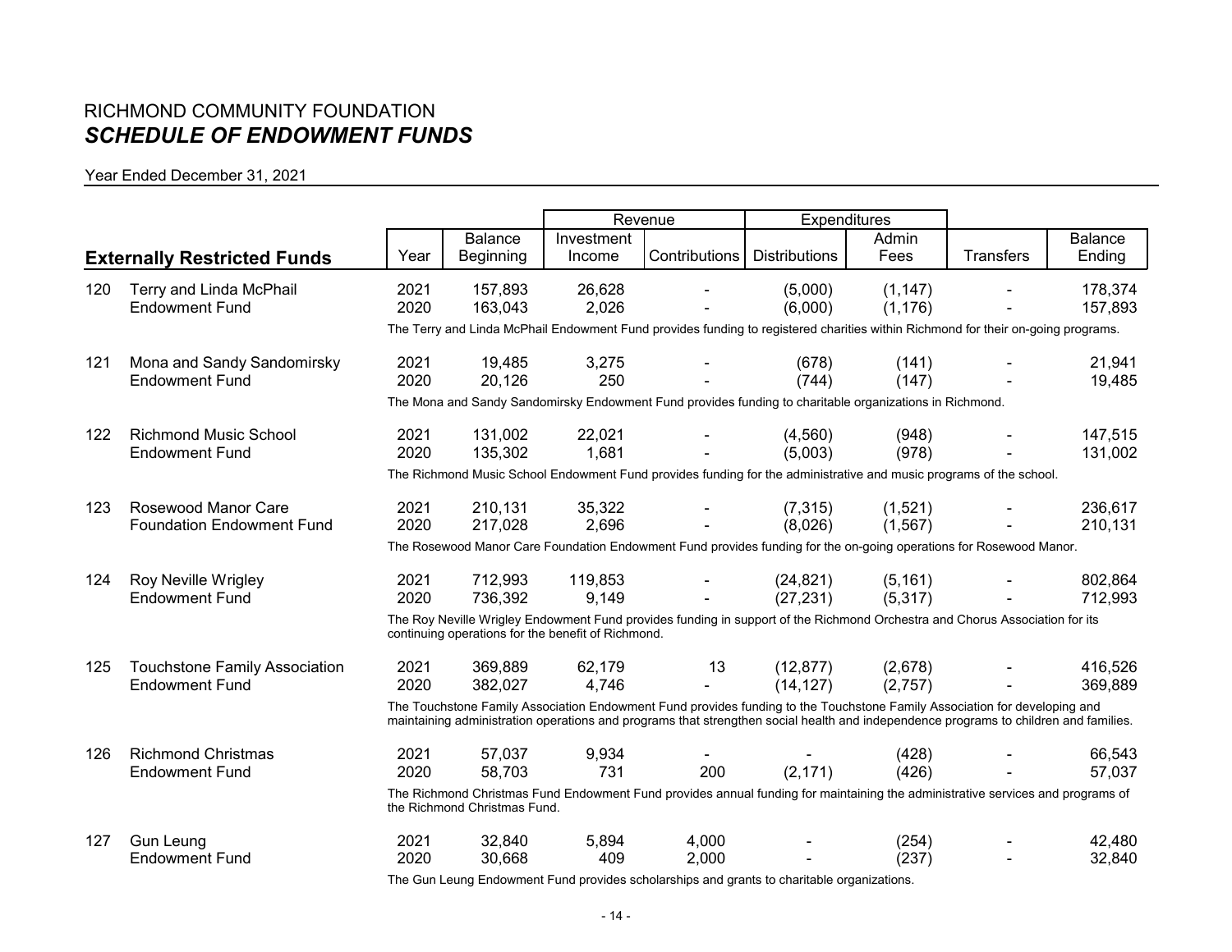### Year Ended December 31, 2021

|     |                                                               |              |                                                    | Revenue          |                | Expenditures                                                                                                                                                                                                                                                      |                      |                  |                    |
|-----|---------------------------------------------------------------|--------------|----------------------------------------------------|------------------|----------------|-------------------------------------------------------------------------------------------------------------------------------------------------------------------------------------------------------------------------------------------------------------------|----------------------|------------------|--------------------|
|     |                                                               |              | <b>Balance</b>                                     | Investment       |                |                                                                                                                                                                                                                                                                   | Admin                |                  | <b>Balance</b>     |
|     | <b>Externally Restricted Funds</b>                            | Year         | Beginning                                          | Income           | Contributions  | <b>Distributions</b>                                                                                                                                                                                                                                              | Fees                 | <b>Transfers</b> | Ending             |
| 120 | Terry and Linda McPhail<br><b>Endowment Fund</b>              | 2021<br>2020 | 157,893<br>163,043                                 | 26,628<br>2,026  |                | (5,000)<br>(6,000)                                                                                                                                                                                                                                                | (1, 147)<br>(1, 176) |                  | 178,374<br>157,893 |
|     |                                                               |              |                                                    |                  |                | The Terry and Linda McPhail Endowment Fund provides funding to registered charities within Richmond for their on-going programs.                                                                                                                                  |                      |                  |                    |
| 121 | Mona and Sandy Sandomirsky<br><b>Endowment Fund</b>           | 2021<br>2020 | 19,485<br>20,126                                   | 3,275<br>250     |                | (678)<br>(744)                                                                                                                                                                                                                                                    | (141)<br>(147)       |                  | 21,941<br>19,485   |
|     |                                                               |              |                                                    |                  |                | The Mona and Sandy Sandomirsky Endowment Fund provides funding to charitable organizations in Richmond.                                                                                                                                                           |                      |                  |                    |
| 122 | <b>Richmond Music School</b><br><b>Endowment Fund</b>         | 2021<br>2020 | 131,002<br>135,302                                 | 22,021<br>1,681  |                | (4,560)<br>(5,003)                                                                                                                                                                                                                                                | (948)<br>(978)       |                  | 147,515<br>131,002 |
|     |                                                               |              |                                                    |                  |                | The Richmond Music School Endowment Fund provides funding for the administrative and music programs of the school.                                                                                                                                                |                      |                  |                    |
| 123 | Rosewood Manor Care<br><b>Foundation Endowment Fund</b>       | 2021<br>2020 | 210,131<br>217,028                                 | 35,322<br>2,696  |                | (7, 315)<br>(8,026)                                                                                                                                                                                                                                               | (1,521)<br>(1, 567)  |                  | 236,617<br>210,131 |
|     |                                                               |              |                                                    |                  |                | The Rosewood Manor Care Foundation Endowment Fund provides funding for the on-going operations for Rosewood Manor.                                                                                                                                                |                      |                  |                    |
| 124 | <b>Roy Neville Wrigley</b><br><b>Endowment Fund</b>           | 2021<br>2020 | 712,993<br>736,392                                 | 119,853<br>9,149 |                | (24, 821)<br>(27, 231)                                                                                                                                                                                                                                            | (5, 161)<br>(5, 317) |                  | 802,864<br>712,993 |
|     |                                                               |              | continuing operations for the benefit of Richmond. |                  |                | The Roy Neville Wrigley Endowment Fund provides funding in support of the Richmond Orchestra and Chorus Association for its                                                                                                                                       |                      |                  |                    |
| 125 | <b>Touchstone Family Association</b><br><b>Endowment Fund</b> | 2021<br>2020 | 369,889<br>382,027                                 | 62,179<br>4,746  | 13             | (12, 877)<br>(14, 127)                                                                                                                                                                                                                                            | (2,678)<br>(2,757)   |                  | 416,526<br>369,889 |
|     |                                                               |              |                                                    |                  |                | The Touchstone Family Association Endowment Fund provides funding to the Touchstone Family Association for developing and<br>maintaining administration operations and programs that strengthen social health and independence programs to children and families. |                      |                  |                    |
| 126 | <b>Richmond Christmas</b><br><b>Endowment Fund</b>            | 2021<br>2020 | 57,037<br>58,703                                   | 9,934<br>731     | 200            | (2, 171)                                                                                                                                                                                                                                                          | (428)<br>(426)       |                  | 66,543<br>57,037   |
|     |                                                               |              | the Richmond Christmas Fund.                       |                  |                | The Richmond Christmas Fund Endowment Fund provides annual funding for maintaining the administrative services and programs of                                                                                                                                    |                      |                  |                    |
| 127 | <b>Gun Leung</b><br><b>Endowment Fund</b>                     | 2021<br>2020 | 32,840<br>30,668                                   | 5,894<br>409     | 4.000<br>2,000 |                                                                                                                                                                                                                                                                   | (254)<br>(237)       |                  | 42.480<br>32,840   |

The Gun Leung Endowment Fund provides scholarships and grants to charitable organizations.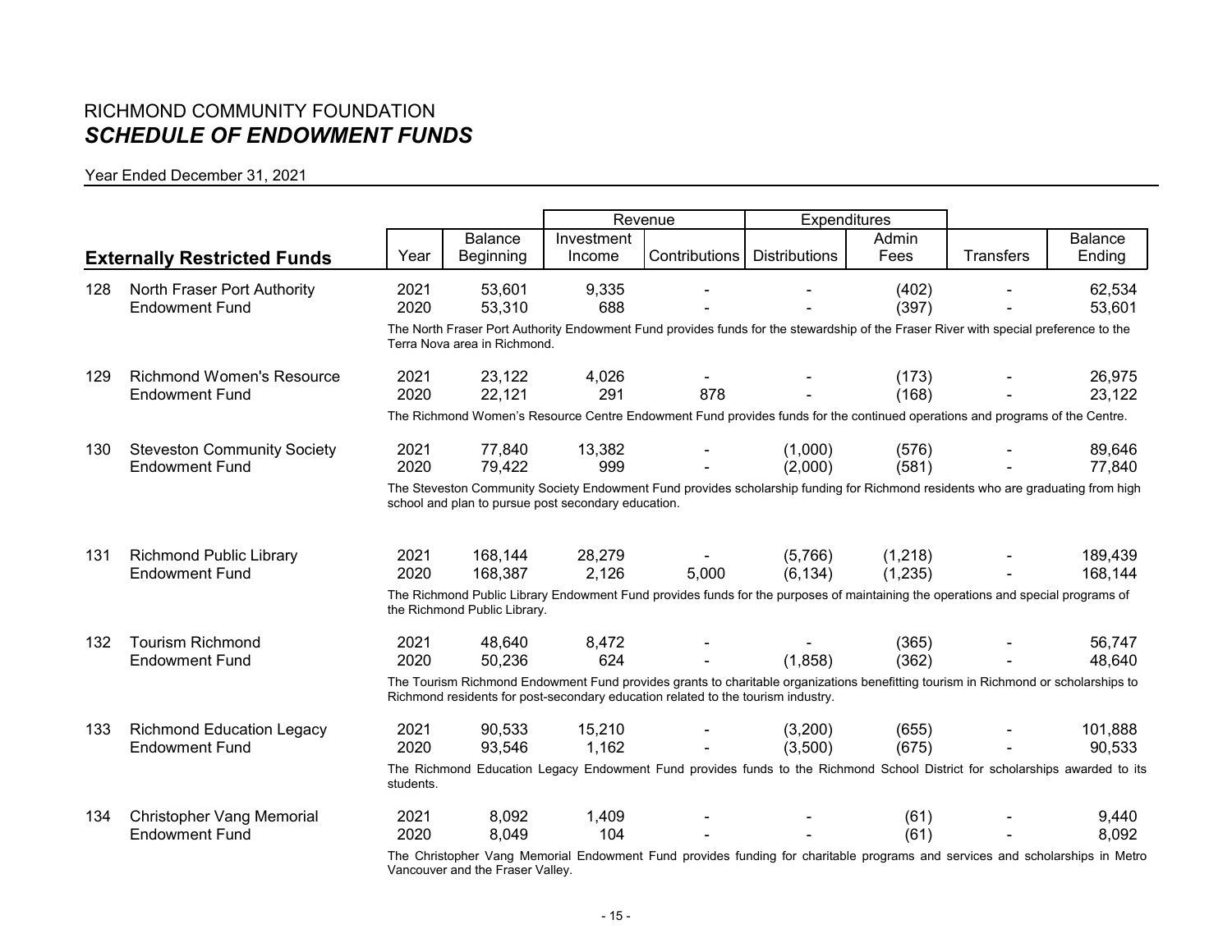### Year Ended December 31, 2021

|     |                                                             |                                                                                                                                                                                        |                              | Revenue         |                                                                                                                                                                                                                        | Expenditures         |                    |                  |                    |
|-----|-------------------------------------------------------------|----------------------------------------------------------------------------------------------------------------------------------------------------------------------------------------|------------------------------|-----------------|------------------------------------------------------------------------------------------------------------------------------------------------------------------------------------------------------------------------|----------------------|--------------------|------------------|--------------------|
|     |                                                             |                                                                                                                                                                                        | <b>Balance</b>               | Investment      |                                                                                                                                                                                                                        |                      | Admin              |                  | <b>Balance</b>     |
|     | <b>Externally Restricted Funds</b>                          | Year                                                                                                                                                                                   | <b>Beginning</b>             | Income          | Contributions                                                                                                                                                                                                          | <b>Distributions</b> | Fees               | <b>Transfers</b> | Ending             |
| 128 | North Fraser Port Authority<br><b>Endowment Fund</b>        | 2021<br>2020                                                                                                                                                                           | 53,601<br>53,310             | 9,335<br>688    |                                                                                                                                                                                                                        |                      | (402)<br>(397)     |                  | 62,534<br>53,601   |
|     |                                                             |                                                                                                                                                                                        | Terra Nova area in Richmond. |                 | The North Fraser Port Authority Endowment Fund provides funds for the stewardship of the Fraser River with special preference to the                                                                                   |                      |                    |                  |                    |
| 129 | <b>Richmond Women's Resource</b><br><b>Endowment Fund</b>   | 2021<br>2020                                                                                                                                                                           | 23,122<br>22,121             | 4,026<br>291    | 878                                                                                                                                                                                                                    |                      | (173)<br>(168)     |                  | 26,975<br>23,122   |
|     |                                                             |                                                                                                                                                                                        |                              |                 | The Richmond Women's Resource Centre Endowment Fund provides funds for the continued operations and programs of the Centre.                                                                                            |                      |                    |                  |                    |
| 130 | <b>Steveston Community Society</b><br><b>Endowment Fund</b> | 2021<br>2020                                                                                                                                                                           | 77,840<br>79,422             | 13,382<br>999   |                                                                                                                                                                                                                        | (1,000)<br>(2,000)   | (576)<br>(581)     |                  | 89,646<br>77,840   |
|     |                                                             | The Steveston Community Society Endowment Fund provides scholarship funding for Richmond residents who are graduating from high<br>school and plan to pursue post secondary education. |                              |                 |                                                                                                                                                                                                                        |                      |                    |                  |                    |
| 131 | <b>Richmond Public Library</b><br><b>Endowment Fund</b>     | 2021<br>2020                                                                                                                                                                           | 168,144<br>168,387           | 28,279<br>2,126 | 5,000                                                                                                                                                                                                                  | (5,766)<br>(6, 134)  | (1,218)<br>(1,235) |                  | 189,439<br>168,144 |
|     |                                                             |                                                                                                                                                                                        | the Richmond Public Library. |                 | The Richmond Public Library Endowment Fund provides funds for the purposes of maintaining the operations and special programs of                                                                                       |                      |                    |                  |                    |
| 132 | <b>Tourism Richmond</b><br><b>Endowment Fund</b>            | 2021<br>2020                                                                                                                                                                           | 48,640<br>50,236             | 8,472<br>624    |                                                                                                                                                                                                                        | (1,858)              | (365)<br>(362)     |                  | 56,747<br>48,640   |
|     |                                                             |                                                                                                                                                                                        |                              |                 | The Tourism Richmond Endowment Fund provides grants to charitable organizations benefitting tourism in Richmond or scholarships to<br>Richmond residents for post-secondary education related to the tourism industry. |                      |                    |                  |                    |
| 133 | <b>Richmond Education Legacy</b><br><b>Endowment Fund</b>   | 2021<br>2020                                                                                                                                                                           | 90,533<br>93,546             | 15,210<br>1,162 |                                                                                                                                                                                                                        | (3,200)<br>(3,500)   | (655)<br>(675)     |                  | 101,888<br>90,533  |
|     |                                                             | students.                                                                                                                                                                              |                              |                 | The Richmond Education Legacy Endowment Fund provides funds to the Richmond School District for scholarships awarded to its                                                                                            |                      |                    |                  |                    |
| 134 | <b>Christopher Vang Memorial</b><br><b>Endowment Fund</b>   | 2021<br>2020                                                                                                                                                                           | 8,092<br>8,049               | 1,409<br>104    |                                                                                                                                                                                                                        |                      | (61)<br>(61)       |                  | 9,440<br>8,092     |
|     |                                                             |                                                                                                                                                                                        |                              |                 | The Christopher Vang Memorial Endowment Fund provides funding for charitable programs and services and scholarships in Metro                                                                                           |                      |                    |                  |                    |

Vancouver and the Fraser Valley.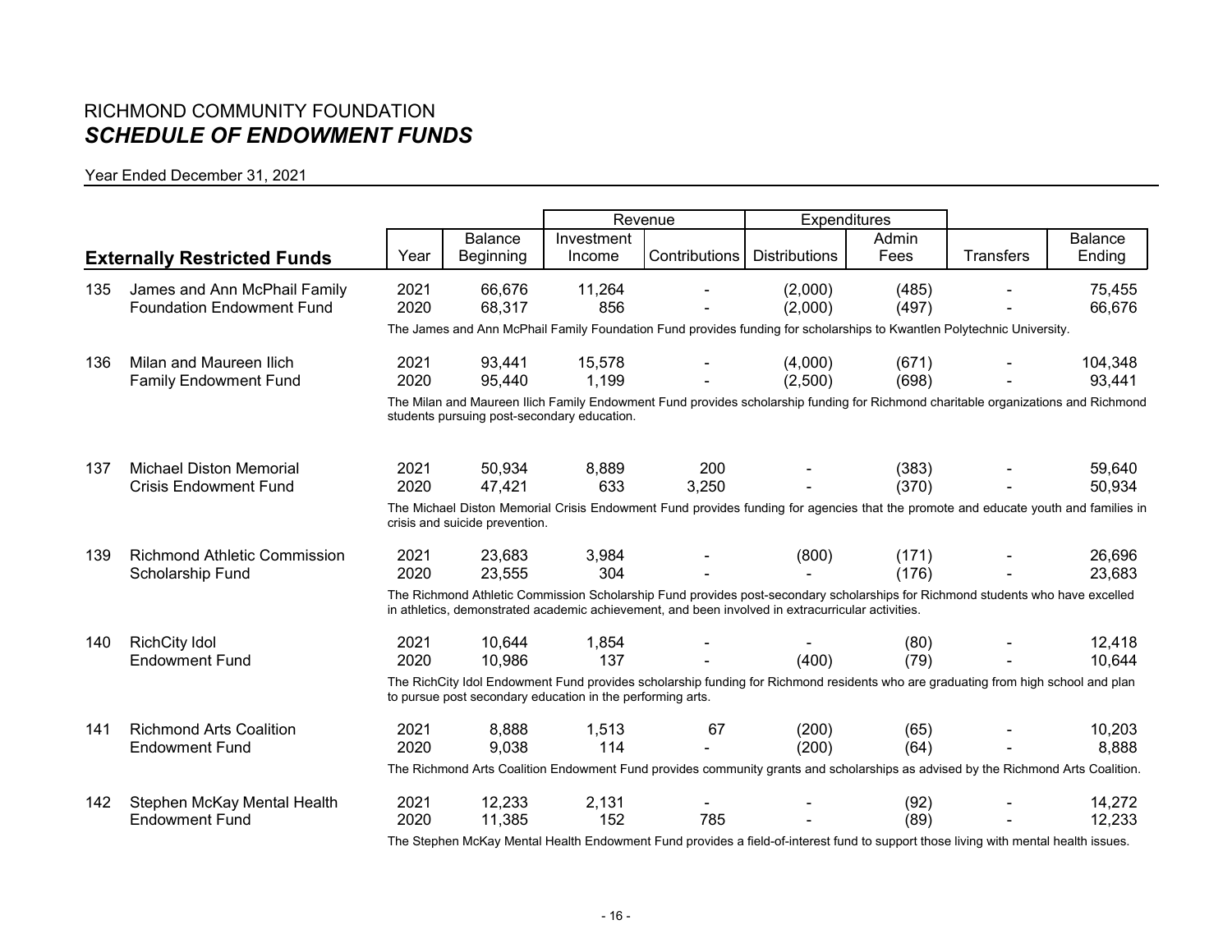|     |                                                                  |              |                                             | Revenue                                                    |                                                                                                                                                                                                                                     | Expenditures         |                |                  |                   |
|-----|------------------------------------------------------------------|--------------|---------------------------------------------|------------------------------------------------------------|-------------------------------------------------------------------------------------------------------------------------------------------------------------------------------------------------------------------------------------|----------------------|----------------|------------------|-------------------|
|     |                                                                  |              | <b>Balance</b>                              | Investment                                                 |                                                                                                                                                                                                                                     |                      | Admin          |                  | <b>Balance</b>    |
|     | <b>Externally Restricted Funds</b>                               | Year         | Beginning                                   | Income                                                     | Contributions                                                                                                                                                                                                                       | <b>Distributions</b> | Fees           | <b>Transfers</b> | Ending            |
| 135 | James and Ann McPhail Family<br><b>Foundation Endowment Fund</b> | 2021<br>2020 | 66,676<br>68,317                            | 11,264<br>856                                              |                                                                                                                                                                                                                                     | (2,000)<br>(2,000)   | (485)<br>(497) |                  | 75,455<br>66,676  |
|     |                                                                  |              |                                             |                                                            | The James and Ann McPhail Family Foundation Fund provides funding for scholarships to Kwantlen Polytechnic University.                                                                                                              |                      |                |                  |                   |
| 136 | Milan and Maureen Ilich<br><b>Family Endowment Fund</b>          | 2021<br>2020 | 93,441<br>95,440                            | 15,578<br>1,199                                            | The Milan and Maureen Ilich Family Endowment Fund provides scholarship funding for Richmond charitable organizations and Richmond                                                                                                   | (4,000)<br>(2,500)   | (671)<br>(698) |                  | 104,348<br>93,441 |
|     |                                                                  |              | students pursuing post-secondary education. |                                                            |                                                                                                                                                                                                                                     |                      |                |                  |                   |
| 137 | <b>Michael Diston Memorial</b>                                   | 2021         | 50,934                                      | 8,889                                                      | 200                                                                                                                                                                                                                                 |                      | (383)          |                  | 59,640            |
|     | <b>Crisis Endowment Fund</b>                                     | 2020         | 47,421                                      | 633                                                        | 3,250                                                                                                                                                                                                                               |                      | (370)          |                  | 50,934            |
|     |                                                                  |              | crisis and suicide prevention.              |                                                            | The Michael Diston Memorial Crisis Endowment Fund provides funding for agencies that the promote and educate youth and families in                                                                                                  |                      |                |                  |                   |
| 139 | <b>Richmond Athletic Commission</b><br>Scholarship Fund          | 2021<br>2020 | 23,683<br>23,555                            | 3,984<br>304                                               |                                                                                                                                                                                                                                     | (800)                | (171)<br>(176) |                  | 26,696<br>23,683  |
|     |                                                                  |              |                                             |                                                            | The Richmond Athletic Commission Scholarship Fund provides post-secondary scholarships for Richmond students who have excelled<br>in athletics, demonstrated academic achievement, and been involved in extracurricular activities. |                      |                |                  |                   |
| 140 | <b>RichCity Idol</b><br><b>Endowment Fund</b>                    | 2021<br>2020 | 10,644<br>10,986                            | 1,854<br>137                                               |                                                                                                                                                                                                                                     | (400)                | (80)<br>(79)   |                  | 12,418<br>10,644  |
|     |                                                                  |              |                                             | to pursue post secondary education in the performing arts. | The RichCity Idol Endowment Fund provides scholarship funding for Richmond residents who are graduating from high school and plan                                                                                                   |                      |                |                  |                   |
| 141 | <b>Richmond Arts Coalition</b><br><b>Endowment Fund</b>          | 2021<br>2020 | 8,888<br>9,038                              | 1,513<br>114                                               | 67                                                                                                                                                                                                                                  | (200)<br>(200)       | (65)<br>(64)   |                  | 10,203<br>8,888   |
|     |                                                                  |              |                                             |                                                            | The Richmond Arts Coalition Endowment Fund provides community grants and scholarships as advised by the Richmond Arts Coalition.                                                                                                    |                      |                |                  |                   |
| 142 | Stephen McKay Mental Health<br><b>Endowment Fund</b>             | 2021<br>2020 | 12,233<br>11,385                            | 2,131<br>152                                               | 785                                                                                                                                                                                                                                 |                      | (92)<br>(89)   |                  | 14,272<br>12,233  |
|     |                                                                  |              |                                             |                                                            | The Stephen McKay Mental Health Endowment Fund provides a field-of-interest fund to support those living with mental health issues.                                                                                                 |                      |                |                  |                   |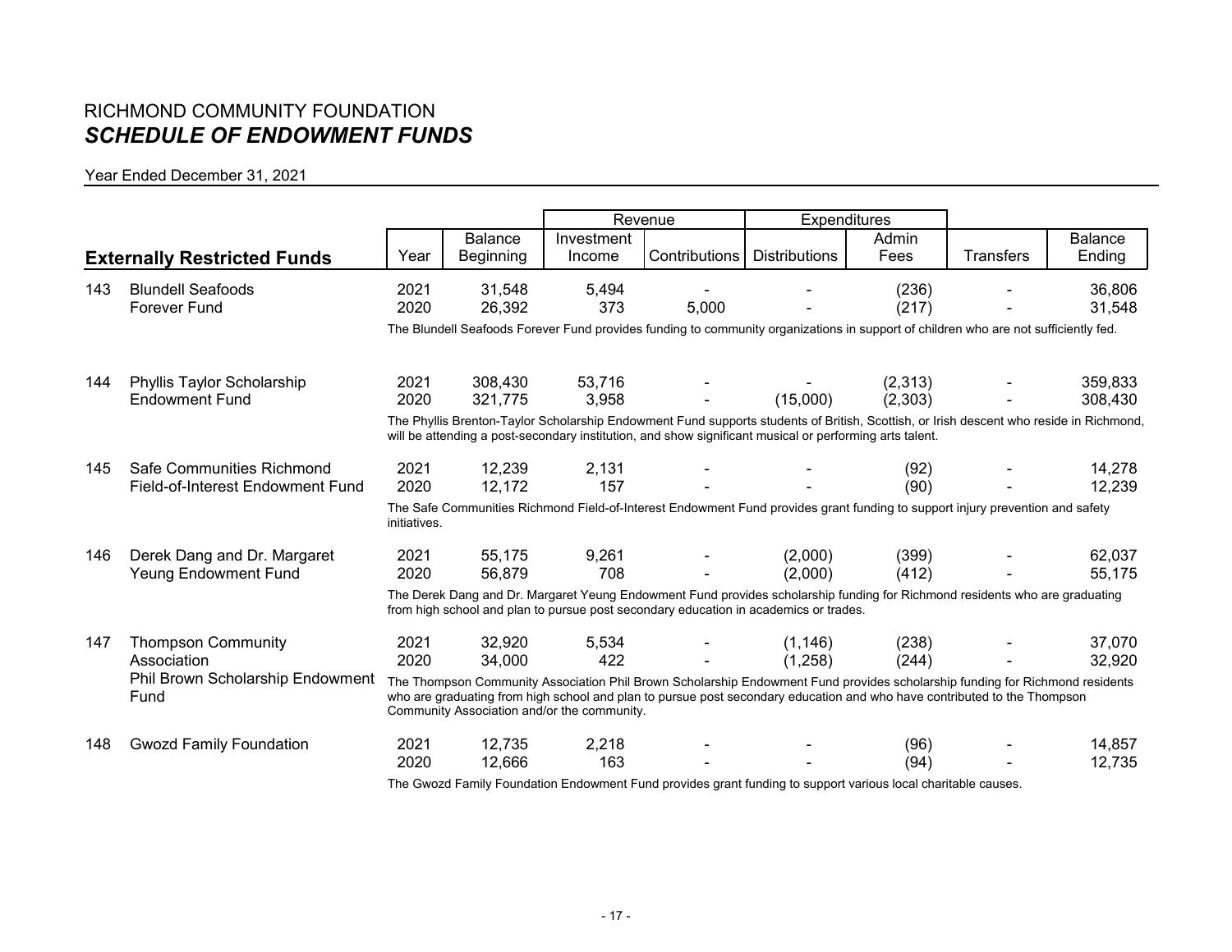### Year Ended December 31, 2021

|     |                                                 |                                                                                                                                                                                                                                                                                                         |                  |              | Revenue                                                                                                                                                                                                                                           | <b>Expenditures</b>  |              |                  |                  |  |
|-----|-------------------------------------------------|---------------------------------------------------------------------------------------------------------------------------------------------------------------------------------------------------------------------------------------------------------------------------------------------------------|------------------|--------------|---------------------------------------------------------------------------------------------------------------------------------------------------------------------------------------------------------------------------------------------------|----------------------|--------------|------------------|------------------|--|
|     |                                                 |                                                                                                                                                                                                                                                                                                         | <b>Balance</b>   | Investment   |                                                                                                                                                                                                                                                   |                      | Admin        |                  | <b>Balance</b>   |  |
|     | <b>Externally Restricted Funds</b>              | Year                                                                                                                                                                                                                                                                                                    | Beginning        | Income       | Contributions                                                                                                                                                                                                                                     | <b>Distributions</b> | Fees         | <b>Transfers</b> | Ending           |  |
| 143 | <b>Blundell Seafoods</b>                        | 2021                                                                                                                                                                                                                                                                                                    | 31,548           | 5,494        |                                                                                                                                                                                                                                                   |                      | (236)        |                  | 36,806           |  |
|     | <b>Forever Fund</b>                             | 2020                                                                                                                                                                                                                                                                                                    | 26,392           | 373          | 5,000                                                                                                                                                                                                                                             |                      | (217)        |                  | 31,548           |  |
|     |                                                 |                                                                                                                                                                                                                                                                                                         |                  |              | The Blundell Seafoods Forever Fund provides funding to community organizations in support of children who are not sufficiently fed.                                                                                                               |                      |              |                  |                  |  |
| 144 | Phyllis Taylor Scholarship                      | 2021                                                                                                                                                                                                                                                                                                    | 308,430          | 53,716       |                                                                                                                                                                                                                                                   |                      | (2,313)      |                  | 359,833          |  |
|     | <b>Endowment Fund</b>                           | 2020                                                                                                                                                                                                                                                                                                    | 321,775          | 3,958        |                                                                                                                                                                                                                                                   | (15,000)             | (2,303)      |                  | 308,430          |  |
|     |                                                 |                                                                                                                                                                                                                                                                                                         |                  |              | The Phyllis Brenton-Taylor Scholarship Endowment Fund supports students of British, Scottish, or Irish descent who reside in Richmond,<br>will be attending a post-secondary institution, and show significant musical or performing arts talent. |                      |              |                  |                  |  |
| 145 | Safe Communities Richmond                       | 2021                                                                                                                                                                                                                                                                                                    | 12,239           | 2,131        |                                                                                                                                                                                                                                                   |                      | (92)         |                  | 14,278           |  |
|     | Field-of-Interest Endowment Fund                | 2020                                                                                                                                                                                                                                                                                                    | 12,172           | 157          |                                                                                                                                                                                                                                                   |                      | (90)         |                  | 12,239           |  |
|     |                                                 | initiatives.                                                                                                                                                                                                                                                                                            |                  |              | The Safe Communities Richmond Field-of-Interest Endowment Fund provides grant funding to support injury prevention and safety                                                                                                                     |                      |              |                  |                  |  |
| 146 | Derek Dang and Dr. Margaret                     | 2021                                                                                                                                                                                                                                                                                                    | 55,175           | 9,261        |                                                                                                                                                                                                                                                   | (2,000)              | (399)        |                  | 62,037           |  |
|     | <b>Yeung Endowment Fund</b>                     | 2020                                                                                                                                                                                                                                                                                                    | 56,879           | 708          |                                                                                                                                                                                                                                                   | (2,000)              | (412)        |                  | 55,175           |  |
|     |                                                 |                                                                                                                                                                                                                                                                                                         |                  |              | The Derek Dang and Dr. Margaret Yeung Endowment Fund provides scholarship funding for Richmond residents who are graduating<br>from high school and plan to pursue post secondary education in academics or trades.                               |                      |              |                  |                  |  |
| 147 | <b>Thompson Community</b>                       | 2021                                                                                                                                                                                                                                                                                                    | 32,920           | 5,534        |                                                                                                                                                                                                                                                   | (1, 146)             | (238)        |                  | 37,070           |  |
|     | Association                                     | 2020                                                                                                                                                                                                                                                                                                    | 34,000           | 422          |                                                                                                                                                                                                                                                   | (1, 258)             | (244)        |                  | 32,920           |  |
|     | <b>Phil Brown Scholarship Endowment</b><br>Fund | The Thompson Community Association Phil Brown Scholarship Endowment Fund provides scholarship funding for Richmond residents<br>who are graduating from high school and plan to pursue post secondary education and who have contributed to the Thompson<br>Community Association and/or the community. |                  |              |                                                                                                                                                                                                                                                   |                      |              |                  |                  |  |
| 148 | <b>Gwozd Family Foundation</b>                  | 2021<br>2020                                                                                                                                                                                                                                                                                            | 12,735<br>12,666 | 2.218<br>163 |                                                                                                                                                                                                                                                   |                      | (96)<br>(94) |                  | 14,857<br>12,735 |  |

The Gwozd Family Foundation Endowment Fund provides grant funding to support various local charitable causes.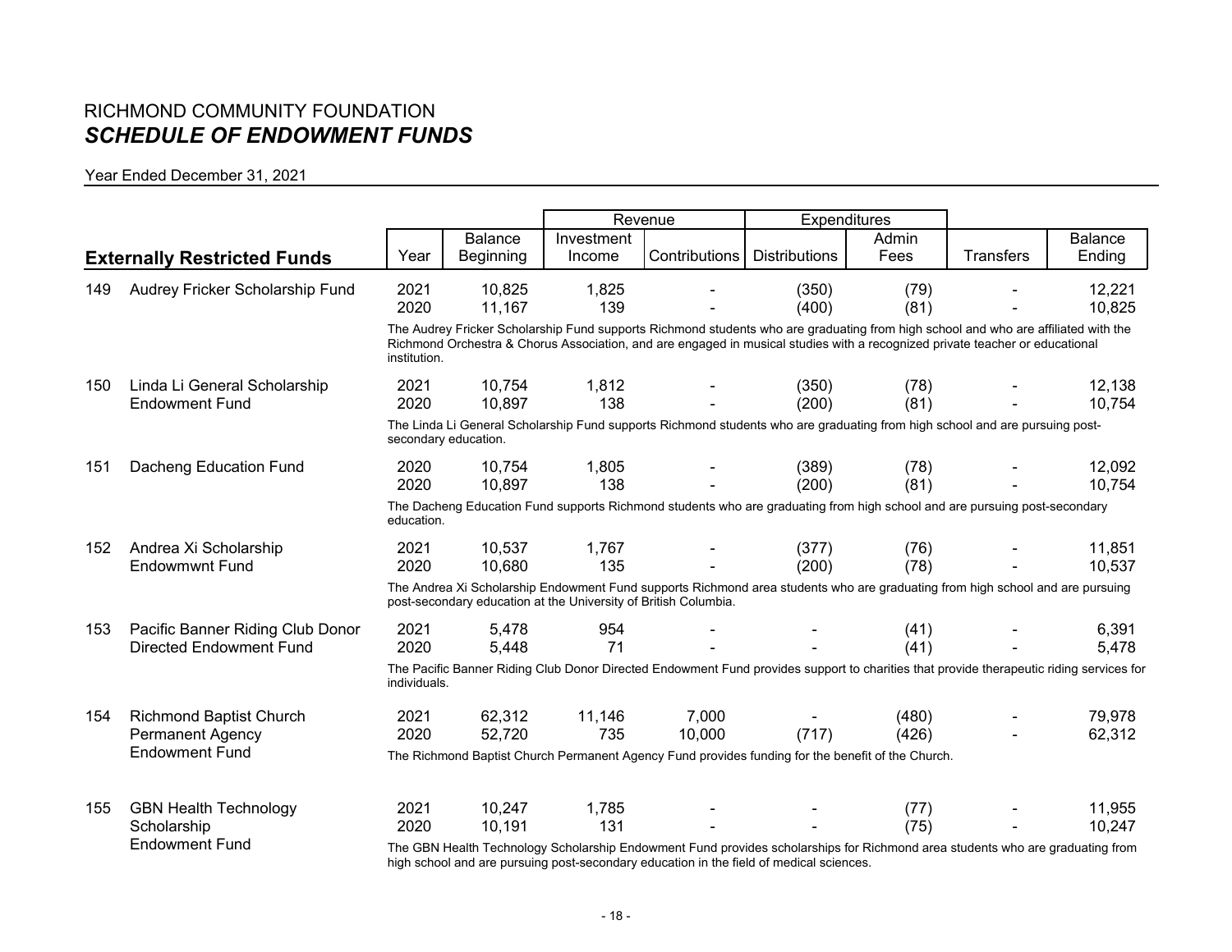|     |                                                             |                                                                                                                     |                      | Revenue                                                         |                 | Expenditures                                                                                                                                                                                                                                                       |              |           |                  |  |
|-----|-------------------------------------------------------------|---------------------------------------------------------------------------------------------------------------------|----------------------|-----------------------------------------------------------------|-----------------|--------------------------------------------------------------------------------------------------------------------------------------------------------------------------------------------------------------------------------------------------------------------|--------------|-----------|------------------|--|
|     |                                                             |                                                                                                                     | <b>Balance</b>       | Investment                                                      |                 |                                                                                                                                                                                                                                                                    | Admin        |           | <b>Balance</b>   |  |
|     | <b>Externally Restricted Funds</b>                          | Year                                                                                                                | Beginning            | Income                                                          | Contributions   | <b>Distributions</b>                                                                                                                                                                                                                                               | Fees         | Transfers | Ending           |  |
| 149 | Audrey Fricker Scholarship Fund                             | 2021<br>2020                                                                                                        | 10,825<br>11,167     | 1,825<br>139                                                    |                 | (350)<br>(400)                                                                                                                                                                                                                                                     | (79)<br>(81) |           | 12,221<br>10,825 |  |
|     |                                                             | institution.                                                                                                        |                      |                                                                 |                 | The Audrey Fricker Scholarship Fund supports Richmond students who are graduating from high school and who are affiliated with the<br>Richmond Orchestra & Chorus Association, and are engaged in musical studies with a recognized private teacher or educational |              |           |                  |  |
| 150 | Linda Li General Scholarship<br><b>Endowment Fund</b>       | 2021<br>2020                                                                                                        | 10,754<br>10,897     | 1,812<br>138                                                    |                 | (350)<br>(200)                                                                                                                                                                                                                                                     | (78)<br>(81) |           | 12,138<br>10,754 |  |
|     |                                                             |                                                                                                                     | secondary education. |                                                                 |                 | The Linda Li General Scholarship Fund supports Richmond students who are graduating from high school and are pursuing post-                                                                                                                                        |              |           |                  |  |
| 151 | Dacheng Education Fund                                      | 2020<br>2020                                                                                                        | 10,754<br>10,897     | 1,805<br>138                                                    |                 | (389)<br>(200)                                                                                                                                                                                                                                                     | (78)<br>(81) |           | 12,092<br>10,754 |  |
|     |                                                             | education.                                                                                                          |                      |                                                                 |                 | The Dacheng Education Fund supports Richmond students who are graduating from high school and are pursuing post-secondary                                                                                                                                          |              |           |                  |  |
| 152 | Andrea Xi Scholarship<br><b>Endowmwnt Fund</b>              | 2021<br>2020                                                                                                        | 10,537<br>10.680     | 1,767<br>135                                                    |                 | (377)<br>(200)                                                                                                                                                                                                                                                     | (76)<br>(78) |           | 11,851<br>10,537 |  |
|     |                                                             |                                                                                                                     |                      | post-secondary education at the University of British Columbia. |                 | The Andrea Xi Scholarship Endowment Fund supports Richmond area students who are graduating from high school and are pursuing                                                                                                                                      |              |           |                  |  |
| 153 | Pacific Banner Riding Club Donor<br>Directed Endowment Fund | 2021<br>2020                                                                                                        | 5,478<br>5,448       | 954<br>71                                                       |                 |                                                                                                                                                                                                                                                                    | (41)<br>(41) |           | 6,391<br>5,478   |  |
|     |                                                             | individuals.                                                                                                        |                      |                                                                 |                 | The Pacific Banner Riding Club Donor Directed Endowment Fund provides support to charities that provide therapeutic riding services for                                                                                                                            |              |           |                  |  |
| 154 | <b>Richmond Baptist Church</b><br><b>Permanent Agency</b>   | 2021<br>2020                                                                                                        | 62,312<br>52,720     | 11,146<br>735                                                   | 7,000<br>10,000 |                                                                                                                                                                                                                                                                    | (480)        |           | 79,978<br>62,312 |  |
|     | <b>Endowment Fund</b>                                       | (717)<br>(426)<br>The Richmond Baptist Church Permanent Agency Fund provides funding for the benefit of the Church. |                      |                                                                 |                 |                                                                                                                                                                                                                                                                    |              |           |                  |  |
| 155 | <b>GBN Health Technology</b><br>Scholarship                 | 2021<br>2020                                                                                                        | 10,247<br>10,191     | 1,785<br>131                                                    |                 |                                                                                                                                                                                                                                                                    | (77)<br>(75) |           | 11,955<br>10,247 |  |
|     | <b>Endowment Fund</b>                                       |                                                                                                                     |                      |                                                                 |                 | The GBN Health Technology Scholarship Endowment Fund provides scholarships for Richmond area students who are graduating from<br>high school and are pursuing post-secondary education in the field of medical sciences.                                           |              |           |                  |  |